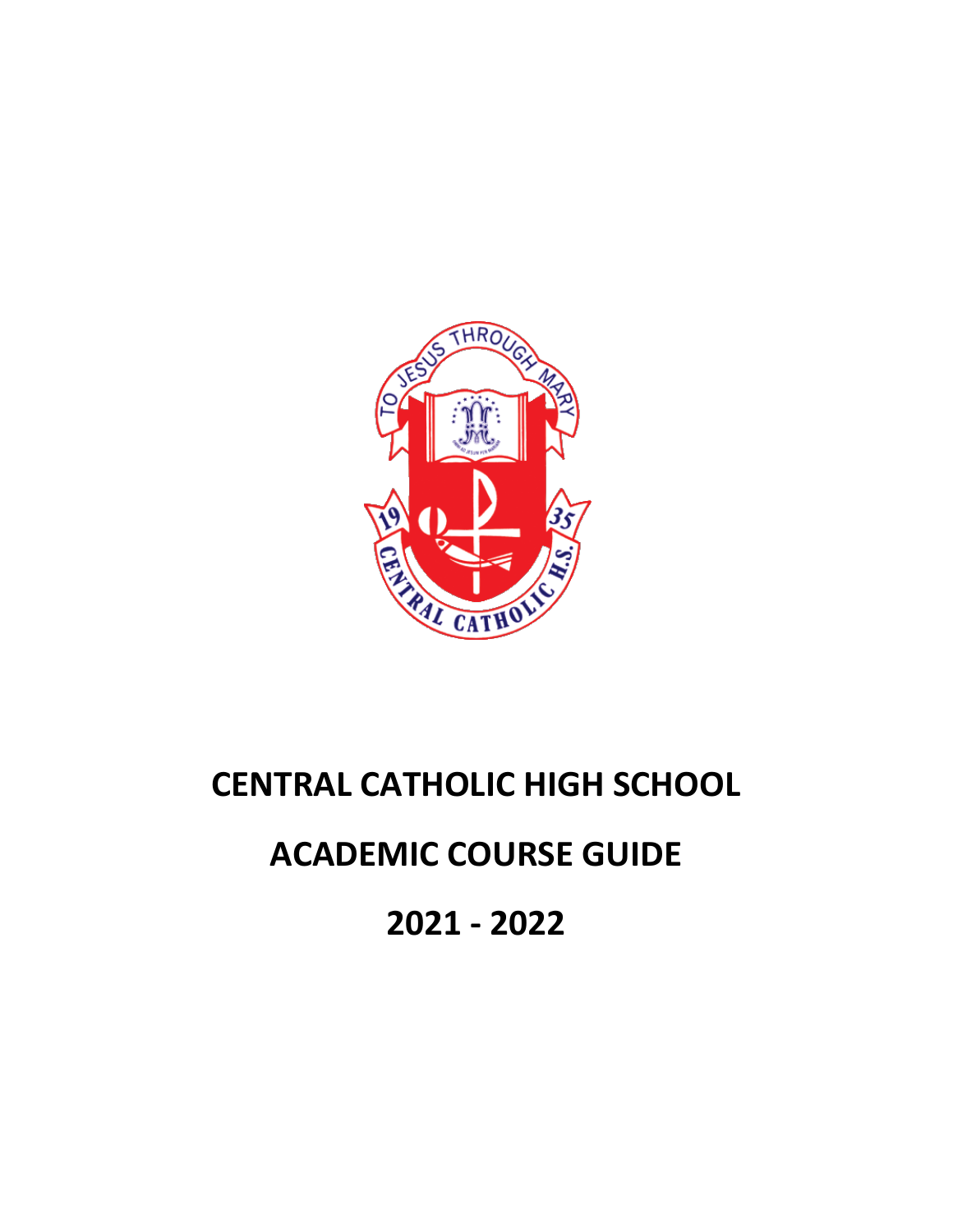

# **CENTRAL CATHOLIC HIGH SCHOOL**

# **ACADEMIC COURSE GUIDE**

**2021 - 2022**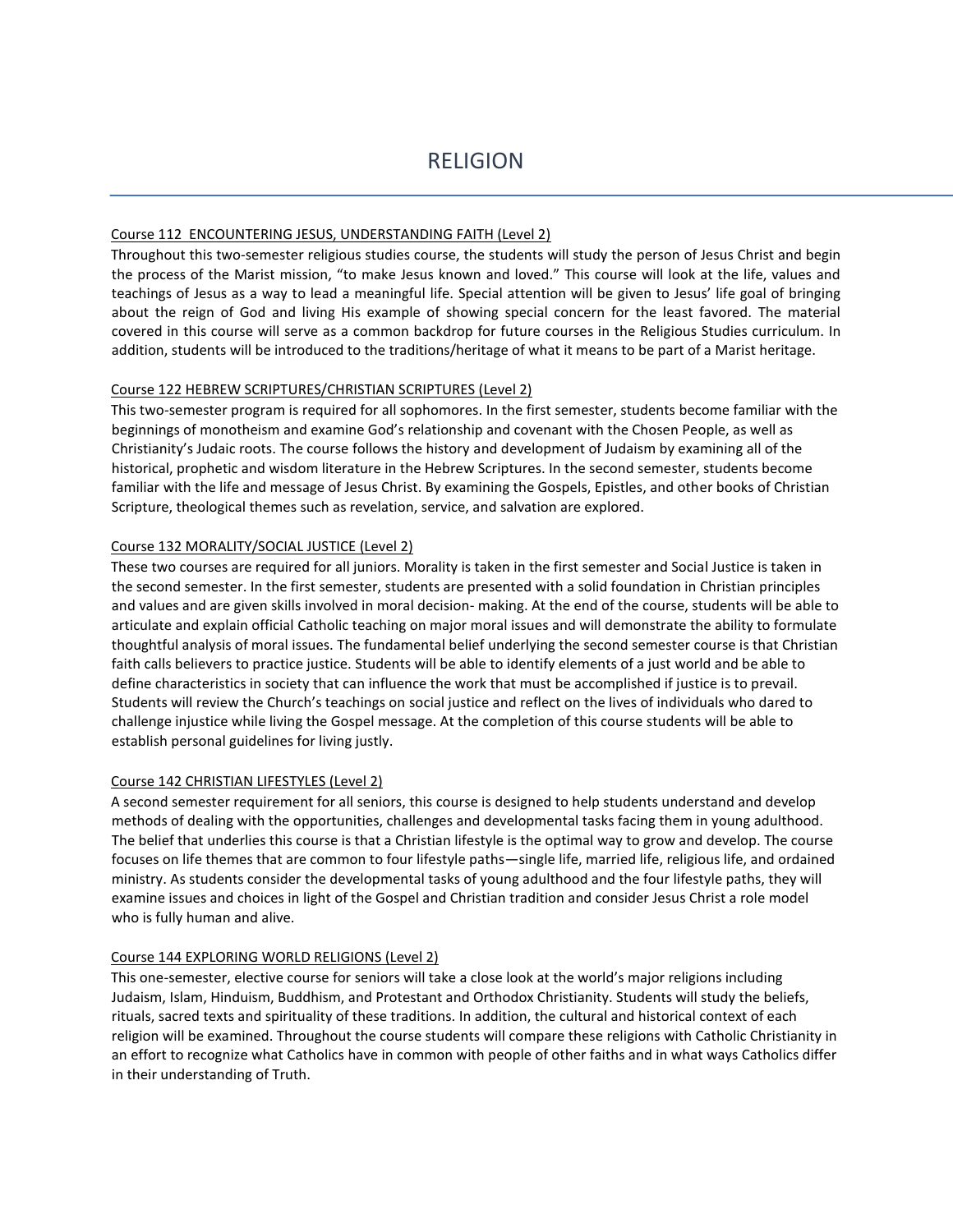#### Course 112 ENCOUNTERING JESUS, UNDERSTANDING FAITH (Level 2)

Throughout this two-semester religious studies course, the students will study the person of Jesus Christ and begin the process of the Marist mission, "to make Jesus known and loved." This course will look at the life, values and teachings of Jesus as a way to lead a meaningful life. Special attention will be given to Jesus' life goal of bringing about the reign of God and living His example of showing special concern for the least favored. The material covered in this course will serve as a common backdrop for future courses in the Religious Studies curriculum. In addition, students will be introduced to the traditions/heritage of what it means to be part of a Marist heritage.

#### Course 122 HEBREW SCRIPTURES/CHRISTIAN SCRIPTURES (Level 2)

This two-semester program is required for all sophomores. In the first semester, students become familiar with the beginnings of monotheism and examine God's relationship and covenant with the Chosen People, as well as Christianity's Judaic roots. The course follows the history and development of Judaism by examining all of the historical, prophetic and wisdom literature in the Hebrew Scriptures. In the second semester, students become familiar with the life and message of Jesus Christ. By examining the Gospels, Epistles, and other books of Christian Scripture, theological themes such as revelation, service, and salvation are explored.

#### Course 132 MORALITY/SOCIAL JUSTICE (Level 2)

These two courses are required for all juniors. Morality is taken in the first semester and Social Justice is taken in the second semester. In the first semester, students are presented with a solid foundation in Christian principles and values and are given skills involved in moral decision- making. At the end of the course, students will be able to articulate and explain official Catholic teaching on major moral issues and will demonstrate the ability to formulate thoughtful analysis of moral issues. The fundamental belief underlying the second semester course is that Christian faith calls believers to practice justice. Students will be able to identify elements of a just world and be able to define characteristics in society that can influence the work that must be accomplished if justice is to prevail. Students will review the Church's teachings on social justice and reflect on the lives of individuals who dared to challenge injustice while living the Gospel message. At the completion of this course students will be able to establish personal guidelines for living justly.

#### Course 142 CHRISTIAN LIFESTYLES (Level 2)

A second semester requirement for all seniors, this course is designed to help students understand and develop methods of dealing with the opportunities, challenges and developmental tasks facing them in young adulthood. The belief that underlies this course is that a Christian lifestyle is the optimal way to grow and develop. The course focuses on life themes that are common to four lifestyle paths—single life, married life, religious life, and ordained ministry. As students consider the developmental tasks of young adulthood and the four lifestyle paths, they will examine issues and choices in light of the Gospel and Christian tradition and consider Jesus Christ a role model who is fully human and alive.

#### Course 144 EXPLORING WORLD RELIGIONS (Level 2)

This one-semester, elective course for seniors will take a close look at the world's major religions including Judaism, Islam, Hinduism, Buddhism, and Protestant and Orthodox Christianity. Students will study the beliefs, rituals, sacred texts and spirituality of these traditions. In addition, the cultural and historical context of each religion will be examined. Throughout the course students will compare these religions with Catholic Christianity in an effort to recognize what Catholics have in common with people of other faiths and in what ways Catholics differ in their understanding of Truth.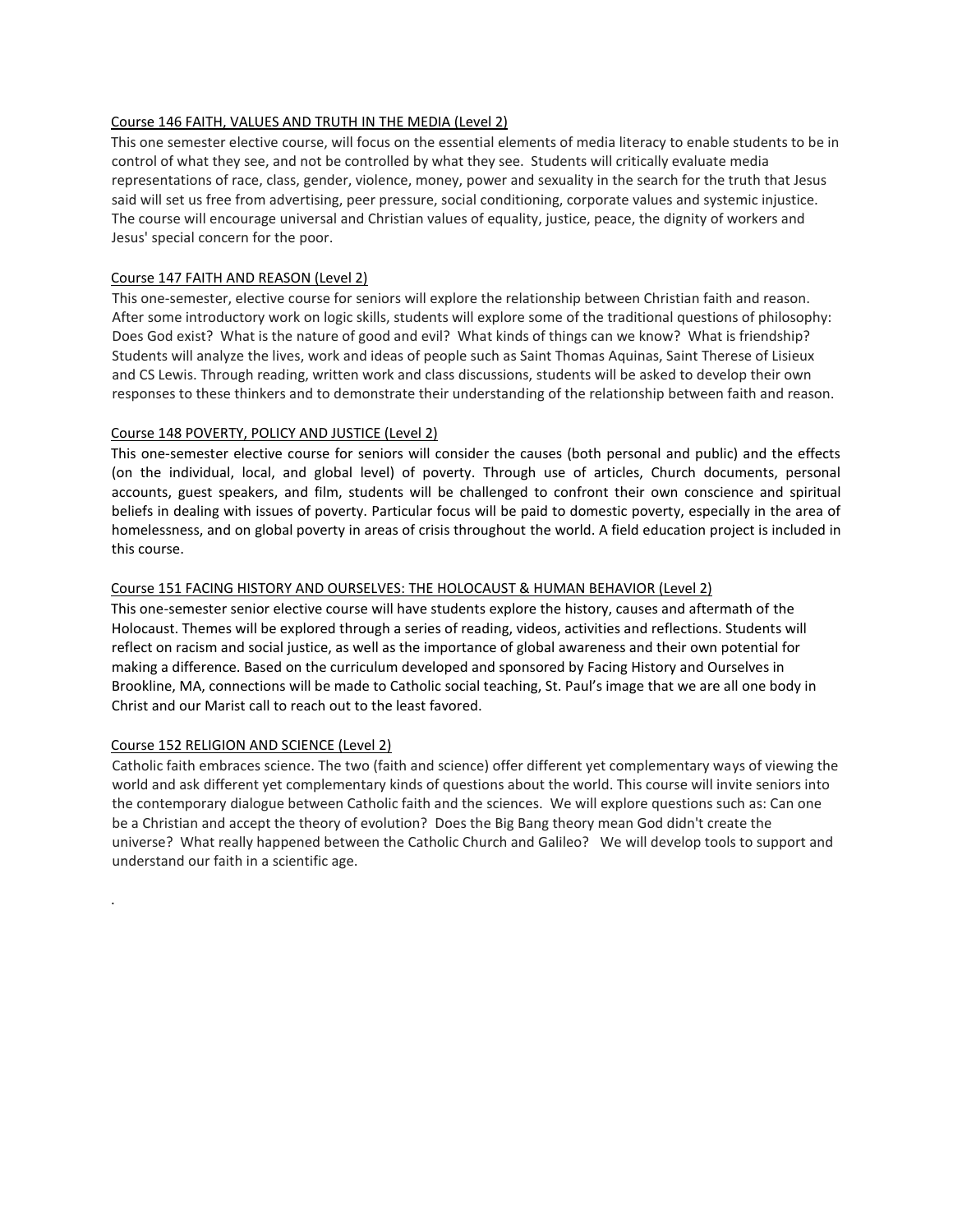# Course 146 FAITH, VALUES AND TRUTH IN THE MEDIA (Level 2)

This one semester elective course, will focus on the essential elements of media literacy to enable students to be in control of what they see, and not be controlled by what they see. Students will critically evaluate media representations of race, class, gender, violence, money, power and sexuality in the search for the truth that Jesus said will set us free from advertising, peer pressure, social conditioning, corporate values and systemic injustice. The course will encourage universal and Christian values of equality, justice, peace, the dignity of workers and Jesus' special concern for the poor.

# Course 147 FAITH AND REASON (Level 2)

This one-semester, elective course for seniors will explore the relationship between Christian faith and reason. After some introductory work on logic skills, students will explore some of the traditional questions of philosophy: Does God exist? What is the nature of good and evil? What kinds of things can we know? What is friendship? Students will analyze the lives, work and ideas of people such as Saint Thomas Aquinas, Saint Therese of Lisieux and CS Lewis. Through reading, written work and class discussions, students will be asked to develop their own responses to these thinkers and to demonstrate their understanding of the relationship between faith and reason.

# Course 148 POVERTY, POLICY AND JUSTICE (Level 2)

This one-semester elective course for seniors will consider the causes (both personal and public) and the effects (on the individual, local, and global level) of poverty. Through use of articles, Church documents, personal accounts, guest speakers, and film, students will be challenged to confront their own conscience and spiritual beliefs in dealing with issues of poverty. Particular focus will be paid to domestic poverty, especially in the area of homelessness, and on global poverty in areas of crisis throughout the world. A field education project is included in this course.

# Course 151 FACING HISTORY AND OURSELVES: THE HOLOCAUST & HUMAN BEHAVIOR (Level 2)

This one-semester senior elective course will have students explore the history, causes and aftermath of the Holocaust. Themes will be explored through a series of reading, videos, activities and reflections. Students will reflect on racism and social justice, as well as the importance of global awareness and their own potential for making a difference. Based on the curriculum developed and sponsored by Facing History and Ourselves in Brookline, MA, connections will be made to Catholic social teaching, St. Paul's image that we are all one body in Christ and our Marist call to reach out to the least favored.

# Course 152 RELIGION AND SCIENCE (Level 2)

.

Catholic faith embraces science. The two (faith and science) offer different yet complementary ways of viewing the world and ask different yet complementary kinds of questions about the world. This course will invite seniors into the contemporary dialogue between Catholic faith and the sciences. We will explore questions such as: Can one be a Christian and accept the theory of evolution? Does the Big Bang theory mean God didn't create the universe? What really happened between the Catholic Church and Galileo? We will develop tools to support and understand our faith in a scientific age.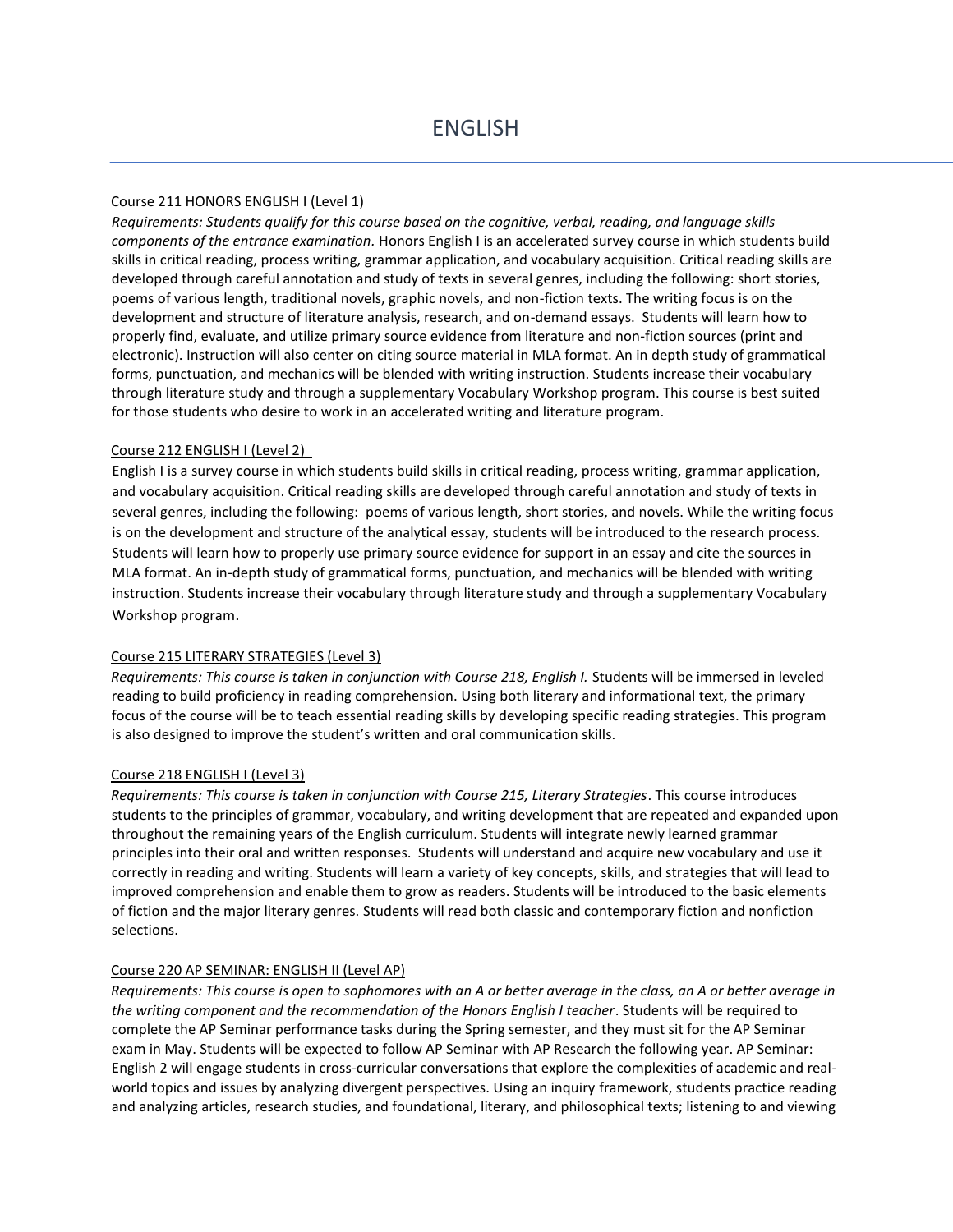#### Course 211 HONORS ENGLISH I (Level 1)

*Requirements: Students qualify for this course based on the cognitive, verbal, reading, and language skills components of the entrance examination.* Honors English I is an accelerated survey course in which students build skills in critical reading, process writing, grammar application, and vocabulary acquisition. Critical reading skills are developed through careful annotation and study of texts in several genres, including the following: short stories, poems of various length, traditional novels, graphic novels, and non-fiction texts. The writing focus is on the development and structure of literature analysis, research, and on-demand essays. Students will learn how to properly find, evaluate, and utilize primary source evidence from literature and non-fiction sources (print and electronic). Instruction will also center on citing source material in MLA format. An in depth study of grammatical forms, punctuation, and mechanics will be blended with writing instruction. Students increase their vocabulary through literature study and through a supplementary Vocabulary Workshop program. This course is best suited for those students who desire to work in an accelerated writing and literature program.

#### Course 212 ENGLISH I (Level 2)

English I is a survey course in which students build skills in critical reading, process writing, grammar application, and vocabulary acquisition. Critical reading skills are developed through careful annotation and study of texts in several genres, including the following: poems of various length, short stories, and novels. While the writing focus is on the development and structure of the analytical essay, students will be introduced to the research process. Students will learn how to properly use primary source evidence for support in an essay and cite the sources in MLA format. An in-depth study of grammatical forms, punctuation, and mechanics will be blended with writing instruction. Students increase their vocabulary through literature study and through a supplementary Vocabulary Workshop program.

#### Course 215 LITERARY STRATEGIES (Level 3)

*Requirements: This course is taken in conjunction with Course 218, English I.* Students will be immersed in leveled reading to build proficiency in reading comprehension. Using both literary and informational text, the primary focus of the course will be to teach essential reading skills by developing specific reading strategies. This program is also designed to improve the student's written and oral communication skills.

#### Course 218 ENGLISH I (Level 3)

*Requirements: This course is taken in conjunction with Course 215, Literary Strategies*. This course introduces students to the principles of grammar, vocabulary, and writing development that are repeated and expanded upon throughout the remaining years of the English curriculum. Students will integrate newly learned grammar principles into their oral and written responses. Students will understand and acquire new vocabulary and use it correctly in reading and writing. Students will learn a variety of key concepts, skills, and strategies that will lead to improved comprehension and enable them to grow as readers. Students will be introduced to the basic elements of fiction and the major literary genres. Students will read both classic and contemporary fiction and nonfiction selections.

#### Course 220 AP SEMINAR: ENGLISH II (Level AP)

*Requirements: This course is open to sophomores with an A or better average in the class, an A or better average in the writing component and the recommendation of the Honors English I teacher*. Students will be required to complete the AP Seminar performance tasks during the Spring semester, and they must sit for the AP Seminar exam in May. Students will be expected to follow AP Seminar with AP Research the following year. AP Seminar: English 2 will engage students in cross-curricular conversations that explore the complexities of academic and realworld topics and issues by analyzing divergent perspectives. Using an inquiry framework, students practice reading and analyzing articles, research studies, and foundational, literary, and philosophical texts; listening to and viewing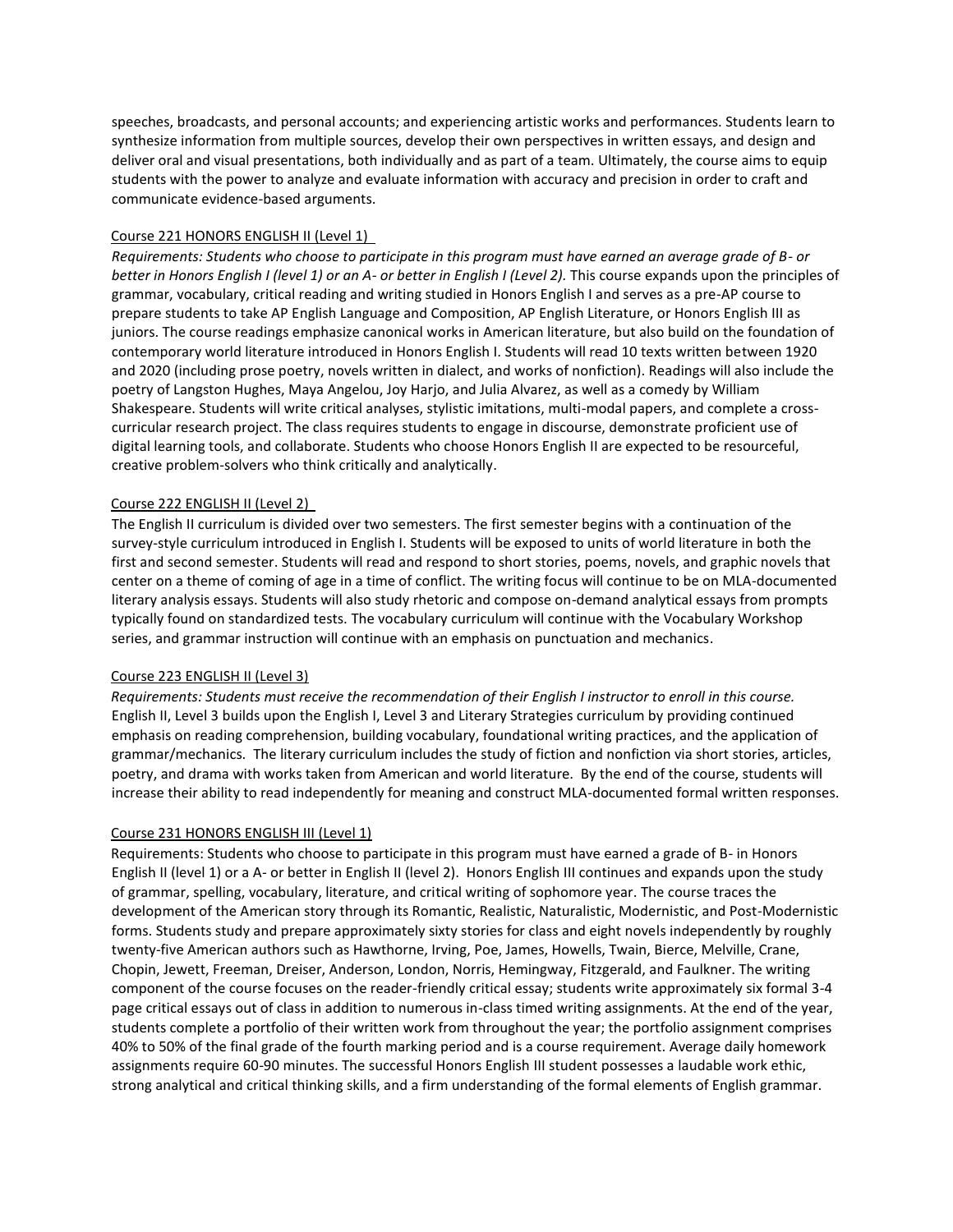speeches, broadcasts, and personal accounts; and experiencing artistic works and performances. Students learn to synthesize information from multiple sources, develop their own perspectives in written essays, and design and deliver oral and visual presentations, both individually and as part of a team. Ultimately, the course aims to equip students with the power to analyze and evaluate information with accuracy and precision in order to craft and communicate evidence-based arguments.

#### Course 221 HONORS ENGLISH II (Level 1)

*Requirements: Students who choose to participate in this program must have earned an average grade of B- or better in Honors English I (level 1) or an A- or better in English I (Level 2).* This course expands upon the principles of grammar, vocabulary, critical reading and writing studied in Honors English I and serves as a pre-AP course to prepare students to take AP English Language and Composition, AP English Literature, or Honors English III as juniors. The course readings emphasize canonical works in American literature, but also build on the foundation of contemporary world literature introduced in Honors English I. Students will read 10 texts written between 1920 and 2020 (including prose poetry, novels written in dialect, and works of nonfiction). Readings will also include the poetry of Langston Hughes, Maya Angelou, Joy Harjo, and Julia Alvarez, as well as a comedy by William Shakespeare. Students will write critical analyses, stylistic imitations, multi-modal papers, and complete a crosscurricular research project. The class requires students to engage in discourse, demonstrate proficient use of digital learning tools, and collaborate. Students who choose Honors English II are expected to be resourceful, creative problem-solvers who think critically and analytically.

#### Course 222 ENGLISH II (Level 2)

The English II curriculum is divided over two semesters. The first semester begins with a continuation of the survey-style curriculum introduced in English I. Students will be exposed to units of world literature in both the first and second semester. Students will read and respond to short stories, poems, novels, and graphic novels that center on a theme of coming of age in a time of conflict. The writing focus will continue to be on MLA-documented literary analysis essays. Students will also study rhetoric and compose on-demand analytical essays from prompts typically found on standardized tests. The vocabulary curriculum will continue with the Vocabulary Workshop series, and grammar instruction will continue with an emphasis on punctuation and mechanics.

#### Course 223 ENGLISH II (Level 3)

*Requirements: Students must receive the recommendation of their English I instructor to enroll in this course.*  English II, Level 3 builds upon the English I, Level 3 and Literary Strategies curriculum by providing continued emphasis on reading comprehension, building vocabulary, foundational writing practices, and the application of grammar/mechanics. The literary curriculum includes the study of fiction and nonfiction via short stories, articles, poetry, and drama with works taken from American and world literature. By the end of the course, students will increase their ability to read independently for meaning and construct MLA-documented formal written responses.

#### Course 231 HONORS ENGLISH III (Level 1)

Requirements: Students who choose to participate in this program must have earned a grade of B- in Honors English II (level 1) or a A- or better in English II (level 2). Honors English III continues and expands upon the study of grammar, spelling, vocabulary, literature, and critical writing of sophomore year. The course traces the development of the American story through its Romantic, Realistic, Naturalistic, Modernistic, and Post-Modernistic forms. Students study and prepare approximately sixty stories for class and eight novels independently by roughly twenty-five American authors such as Hawthorne, Irving, Poe, James, Howells, Twain, Bierce, Melville, Crane, Chopin, Jewett, Freeman, Dreiser, Anderson, London, Norris, Hemingway, Fitzgerald, and Faulkner. The writing component of the course focuses on the reader-friendly critical essay; students write approximately six formal 3-4 page critical essays out of class in addition to numerous in-class timed writing assignments. At the end of the year, students complete a portfolio of their written work from throughout the year; the portfolio assignment comprises 40% to 50% of the final grade of the fourth marking period and is a course requirement. Average daily homework assignments require 60-90 minutes. The successful Honors English III student possesses a laudable work ethic, strong analytical and critical thinking skills, and a firm understanding of the formal elements of English grammar.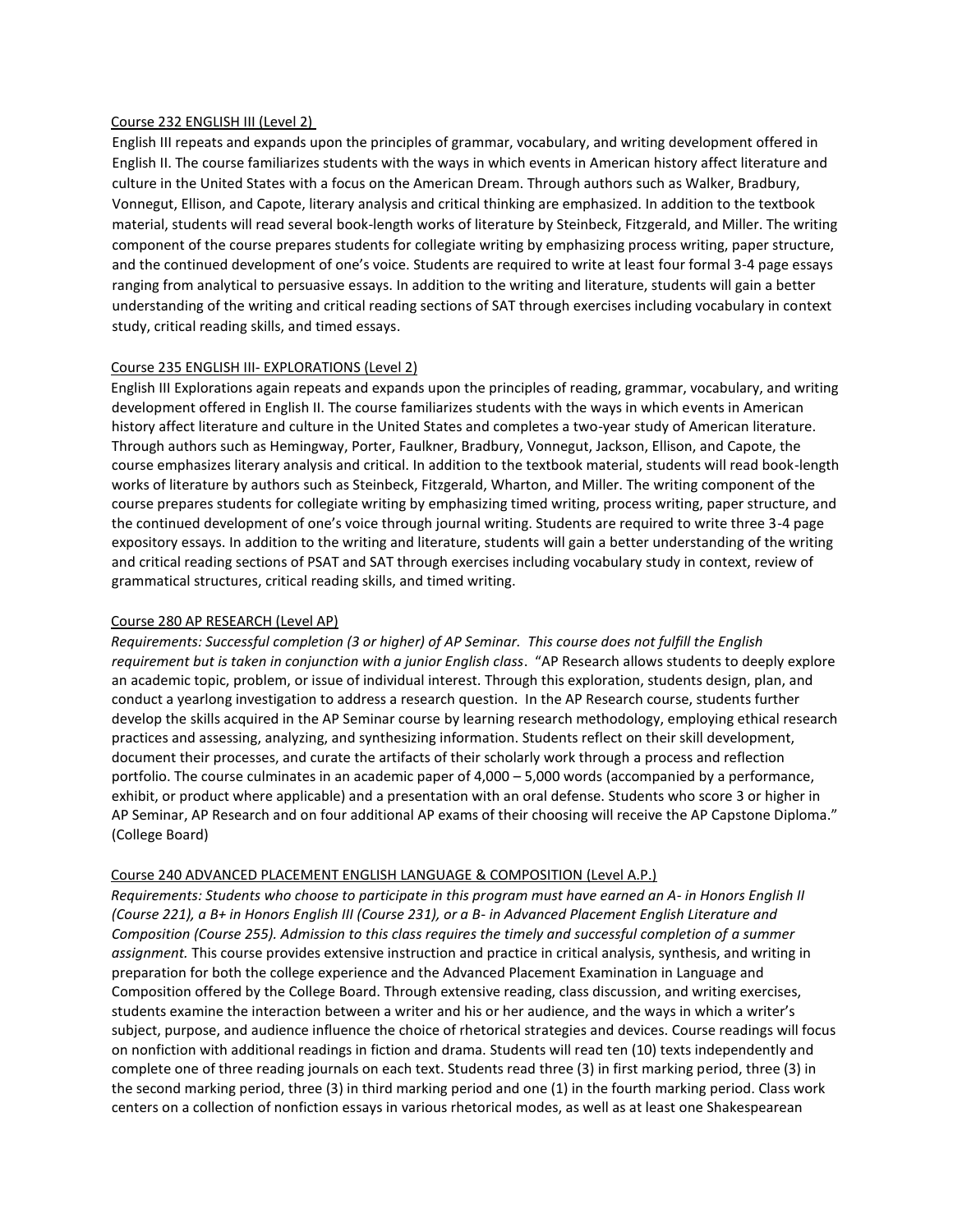#### Course 232 ENGLISH III (Level 2)

English III repeats and expands upon the principles of grammar, vocabulary, and writing development offered in English II. The course familiarizes students with the ways in which events in American history affect literature and culture in the United States with a focus on the American Dream. Through authors such as Walker, Bradbury, Vonnegut, Ellison, and Capote, literary analysis and critical thinking are emphasized. In addition to the textbook material, students will read several book-length works of literature by Steinbeck, Fitzgerald, and Miller. The writing component of the course prepares students for collegiate writing by emphasizing process writing, paper structure, and the continued development of one's voice. Students are required to write at least four formal 3-4 page essays ranging from analytical to persuasive essays. In addition to the writing and literature, students will gain a better understanding of the writing and critical reading sections of SAT through exercises including vocabulary in context study, critical reading skills, and timed essays.

#### Course 235 ENGLISH III- EXPLORATIONS (Level 2)

English III Explorations again repeats and expands upon the principles of reading, grammar, vocabulary, and writing development offered in English II. The course familiarizes students with the ways in which events in American history affect literature and culture in the United States and completes a two-year study of American literature. Through authors such as Hemingway, Porter, Faulkner, Bradbury, Vonnegut, Jackson, Ellison, and Capote, the course emphasizes literary analysis and critical. In addition to the textbook material, students will read book-length works of literature by authors such as Steinbeck, Fitzgerald, Wharton, and Miller. The writing component of the course prepares students for collegiate writing by emphasizing timed writing, process writing, paper structure, and the continued development of one's voice through journal writing. Students are required to write three 3-4 page expository essays. In addition to the writing and literature, students will gain a better understanding of the writing and critical reading sections of PSAT and SAT through exercises including vocabulary study in context, review of grammatical structures, critical reading skills, and timed writing.

#### Course 280 AP RESEARCH (Level AP)

*Requirements: Successful completion (3 or higher) of AP Seminar. This course does not fulfill the English requirement but is taken in conjunction with a junior English class*. "AP Research allows students to deeply explore an academic topic, problem, or issue of individual interest. Through this exploration, students design, plan, and conduct a yearlong investigation to address a research question. In the AP Research course, students further develop the skills acquired in the AP Seminar course by learning research methodology, employing ethical research practices and assessing, analyzing, and synthesizing information. Students reflect on their skill development, document their processes, and curate the artifacts of their scholarly work through a process and reflection portfolio. The course culminates in an academic paper of 4,000 – 5,000 words (accompanied by a performance, exhibit, or product where applicable) and a presentation with an oral defense. Students who score 3 or higher in AP Seminar, AP Research and on four additional AP exams of their choosing will receive the AP Capstone Diploma." (College Board)

#### Course 240 ADVANCED PLACEMENT ENGLISH LANGUAGE & COMPOSITION (Level A.P.)

*Requirements: Students who choose to participate in this program must have earned an A- in Honors English II (Course 221), a B+ in Honors English III (Course 231), or a B- in Advanced Placement English Literature and Composition (Course 255). Admission to this class requires the timely and successful completion of a summer assignment.* This course provides extensive instruction and practice in critical analysis, synthesis, and writing in preparation for both the college experience and the Advanced Placement Examination in Language and Composition offered by the College Board. Through extensive reading, class discussion, and writing exercises, students examine the interaction between a writer and his or her audience, and the ways in which a writer's subject, purpose, and audience influence the choice of rhetorical strategies and devices. Course readings will focus on nonfiction with additional readings in fiction and drama. Students will read ten (10) texts independently and complete one of three reading journals on each text. Students read three (3) in first marking period, three (3) in the second marking period, three (3) in third marking period and one (1) in the fourth marking period. Class work centers on a collection of nonfiction essays in various rhetorical modes, as well as at least one Shakespearean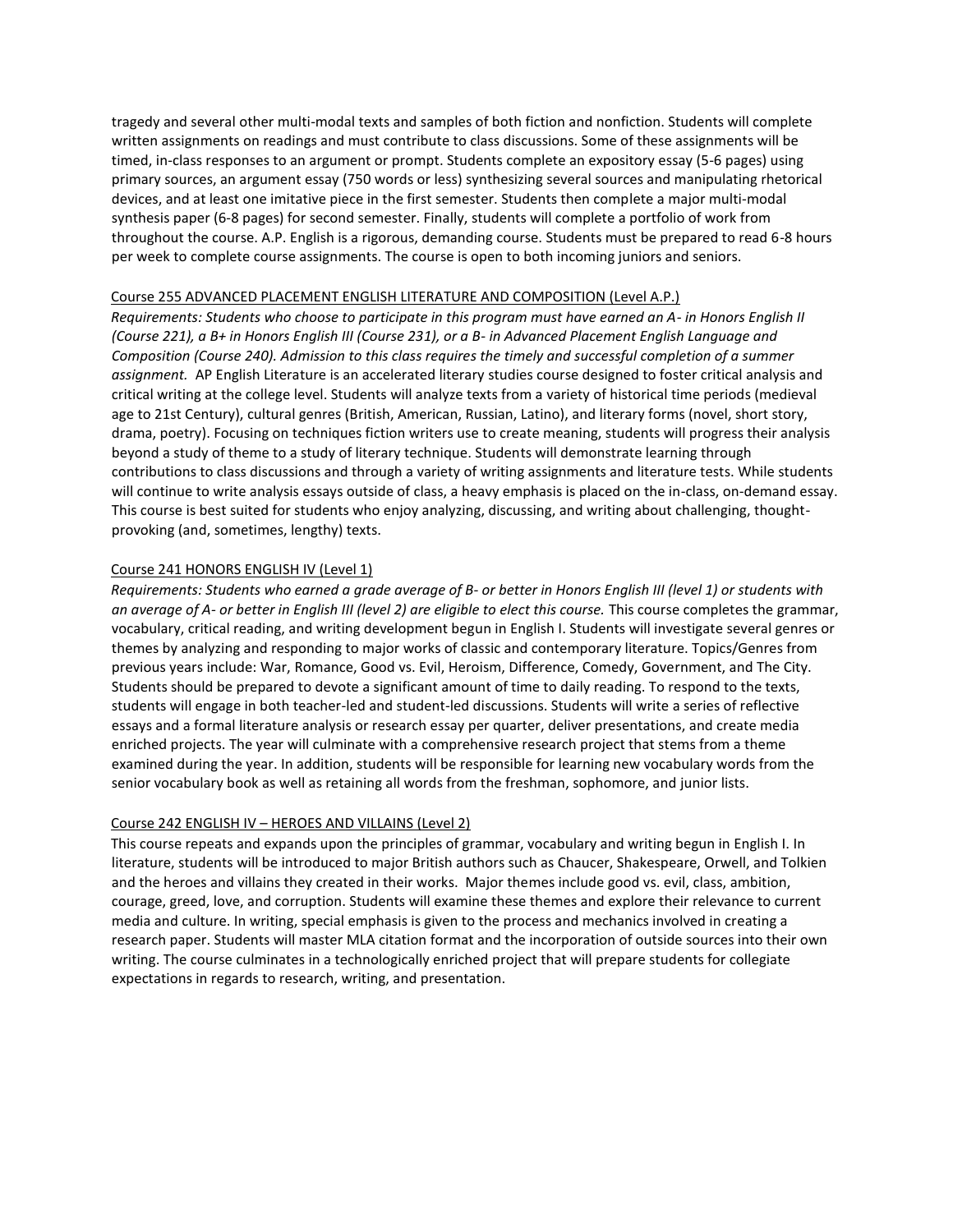tragedy and several other multi-modal texts and samples of both fiction and nonfiction. Students will complete written assignments on readings and must contribute to class discussions. Some of these assignments will be timed, in-class responses to an argument or prompt. Students complete an expository essay (5-6 pages) using primary sources, an argument essay (750 words or less) synthesizing several sources and manipulating rhetorical devices, and at least one imitative piece in the first semester. Students then complete a major multi-modal synthesis paper (6-8 pages) for second semester. Finally, students will complete a portfolio of work from throughout the course. A.P. English is a rigorous, demanding course. Students must be prepared to read 6-8 hours per week to complete course assignments. The course is open to both incoming juniors and seniors.

#### Course 255 ADVANCED PLACEMENT ENGLISH LITERATURE AND COMPOSITION (Level A.P.)

*Requirements: Students who choose to participate in this program must have earned an A- in Honors English II (Course 221), a B+ in Honors English III (Course 231), or a B- in Advanced Placement English Language and Composition (Course 240). Admission to this class requires the timely and successful completion of a summer assignment.* AP English Literature is an accelerated literary studies course designed to foster critical analysis and critical writing at the college level. Students will analyze texts from a variety of historical time periods (medieval age to 21st Century), cultural genres (British, American, Russian, Latino), and literary forms (novel, short story, drama, poetry). Focusing on techniques fiction writers use to create meaning, students will progress their analysis beyond a study of theme to a study of literary technique. Students will demonstrate learning through contributions to class discussions and through a variety of writing assignments and literature tests. While students will continue to write analysis essays outside of class, a heavy emphasis is placed on the in-class, on-demand essay. This course is best suited for students who enjoy analyzing, discussing, and writing about challenging, thoughtprovoking (and, sometimes, lengthy) texts.

#### Course 241 HONORS ENGLISH IV (Level 1)

*Requirements: Students who earned a grade average of B- or better in Honors English III (level 1) or students with an average of A- or better in English III (level 2) are eligible to elect this course.* This course completes the grammar, vocabulary, critical reading, and writing development begun in English I. Students will investigate several genres or themes by analyzing and responding to major works of classic and contemporary literature. Topics/Genres from previous years include: War, Romance, Good vs. Evil, Heroism, Difference, Comedy, Government, and The City. Students should be prepared to devote a significant amount of time to daily reading. To respond to the texts, students will engage in both teacher-led and student-led discussions. Students will write a series of reflective essays and a formal literature analysis or research essay per quarter, deliver presentations, and create media enriched projects. The year will culminate with a comprehensive research project that stems from a theme examined during the year. In addition, students will be responsible for learning new vocabulary words from the senior vocabulary book as well as retaining all words from the freshman, sophomore, and junior lists.

#### Course 242 ENGLISH IV – HEROES AND VILLAINS (Level 2)

This course repeats and expands upon the principles of grammar, vocabulary and writing begun in English I. In literature, students will be introduced to major British authors such as Chaucer, Shakespeare, Orwell, and Tolkien and the heroes and villains they created in their works. Major themes include good vs. evil, class, ambition, courage, greed, love, and corruption. Students will examine these themes and explore their relevance to current media and culture. In writing, special emphasis is given to the process and mechanics involved in creating a research paper. Students will master MLA citation format and the incorporation of outside sources into their own writing. The course culminates in a technologically enriched project that will prepare students for collegiate expectations in regards to research, writing, and presentation.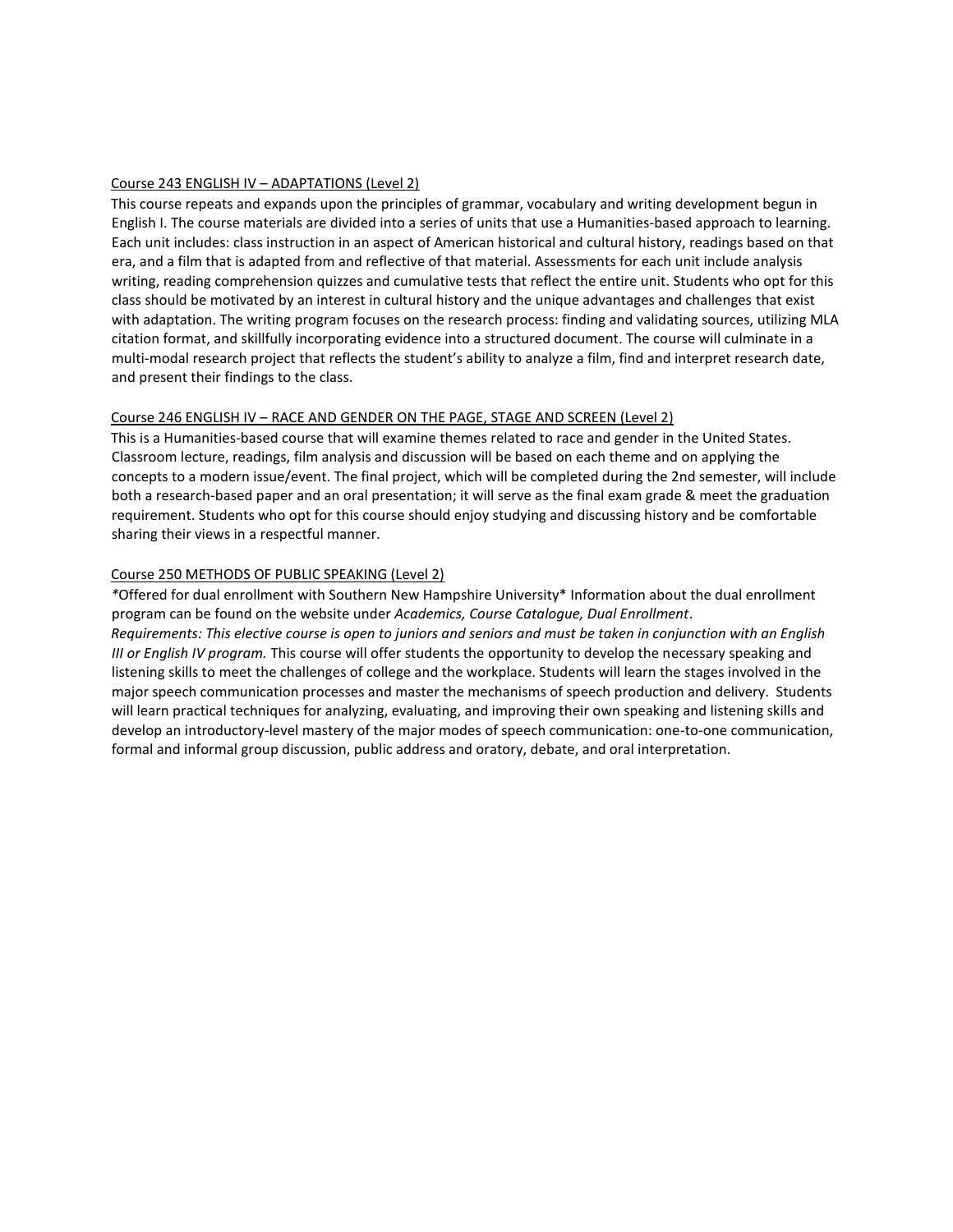#### Course 243 ENGLISH IV – ADAPTATIONS (Level 2)

This course repeats and expands upon the principles of grammar, vocabulary and writing development begun in English I. The course materials are divided into a series of units that use a Humanities-based approach to learning. Each unit includes: class instruction in an aspect of American historical and cultural history, readings based on that era, and a film that is adapted from and reflective of that material. Assessments for each unit include analysis writing, reading comprehension quizzes and cumulative tests that reflect the entire unit. Students who opt for this class should be motivated by an interest in cultural history and the unique advantages and challenges that exist with adaptation. The writing program focuses on the research process: finding and validating sources, utilizing MLA citation format, and skillfully incorporating evidence into a structured document. The course will culminate in a multi-modal research project that reflects the student's ability to analyze a film, find and interpret research date, and present their findings to the class.

#### Course 246 ENGLISH IV – RACE AND GENDER ON THE PAGE, STAGE AND SCREEN (Level 2)

This is a Humanities-based course that will examine themes related to race and gender in the United States. Classroom lecture, readings, film analysis and discussion will be based on each theme and on applying the concepts to a modern issue/event. The final project, which will be completed during the 2nd semester, will include both a research-based paper and an oral presentation; it will serve as the final exam grade & meet the graduation requirement. Students who opt for this course should enjoy studying and discussing history and be comfortable sharing their views in a respectful manner.

#### Course 250 METHODS OF PUBLIC SPEAKING (Level 2)

*\**Offered for dual enrollment with Southern New Hampshire University\* Information about the dual enrollment program can be found on the website under *Academics, Course Catalogue, Dual Enrollment*. *Requirements: This elective course is open to juniors and seniors and must be taken in conjunction with an English III or English IV program.* This course will offer students the opportunity to develop the necessary speaking and listening skills to meet the challenges of college and the workplace. Students will learn the stages involved in the major speech communication processes and master the mechanisms of speech production and delivery. Students will learn practical techniques for analyzing, evaluating, and improving their own speaking and listening skills and develop an introductory-level mastery of the major modes of speech communication: one-to-one communication, formal and informal group discussion, public address and oratory, debate, and oral interpretation.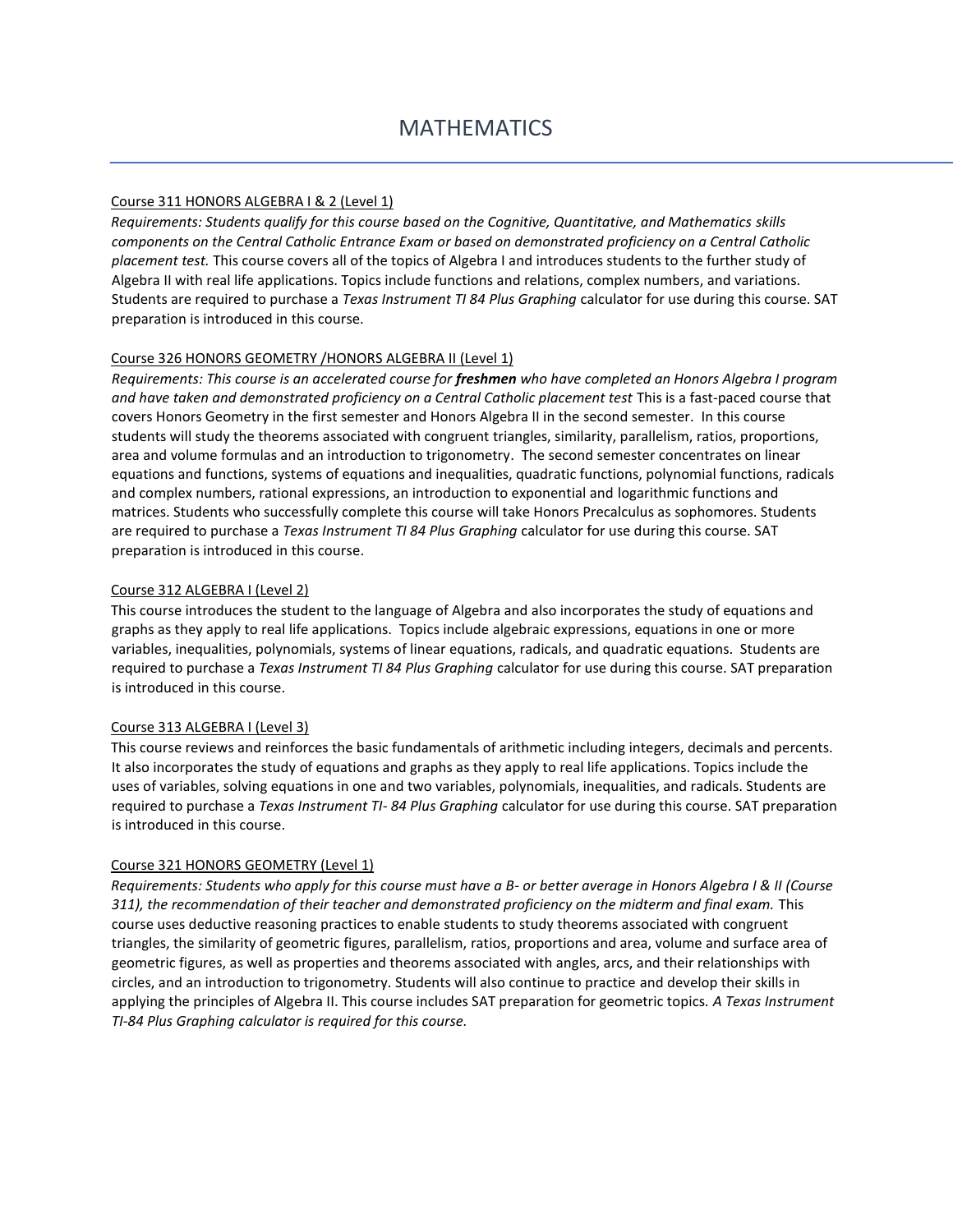#### Course 311 HONORS ALGEBRA I & 2 (Level 1)

*Requirements: Students qualify for this course based on the Cognitive, Quantitative, and Mathematics skills components on the Central Catholic Entrance Exam or based on demonstrated proficiency on a Central Catholic placement test.* This course covers all of the topics of Algebra I and introduces students to the further study of Algebra II with real life applications. Topics include functions and relations, complex numbers, and variations. Students are required to purchase a *Texas Instrument TI 84 Plus Graphing* calculator for use during this course. SAT preparation is introduced in this course.

# Course 326 HONORS GEOMETRY /HONORS ALGEBRA II (Level 1)

*Requirements: This course is an accelerated course for freshmen who have completed an Honors Algebra I program and have taken and demonstrated proficiency on a Central Catholic placement test* This is a fast-paced course that covers Honors Geometry in the first semester and Honors Algebra II in the second semester. In this course students will study the theorems associated with congruent triangles, similarity, parallelism, ratios, proportions, area and volume formulas and an introduction to trigonometry. The second semester concentrates on linear equations and functions, systems of equations and inequalities, quadratic functions, polynomial functions, radicals and complex numbers, rational expressions, an introduction to exponential and logarithmic functions and matrices. Students who successfully complete this course will take Honors Precalculus as sophomores. Students are required to purchase a *Texas Instrument TI 84 Plus Graphing* calculator for use during this course. SAT preparation is introduced in this course.

# Course 312 ALGEBRA I (Level 2)

This course introduces the student to the language of Algebra and also incorporates the study of equations and graphs as they apply to real life applications. Topics include algebraic expressions, equations in one or more variables, inequalities, polynomials, systems of linear equations, radicals, and quadratic equations. Students are required to purchase a *Texas Instrument TI 84 Plus Graphing* calculator for use during this course. SAT preparation is introduced in this course.

#### Course 313 ALGEBRA I (Level 3)

This course reviews and reinforces the basic fundamentals of arithmetic including integers, decimals and percents. It also incorporates the study of equations and graphs as they apply to real life applications. Topics include the uses of variables, solving equations in one and two variables, polynomials, inequalities, and radicals. Students are required to purchase a *Texas Instrument TI- 84 Plus Graphing* calculator for use during this course. SAT preparation is introduced in this course.

#### Course 321 HONORS GEOMETRY (Level 1)

*Requirements: Students who apply for this course must have a B- or better average in Honors Algebra I & II (Course 311), the recommendation of their teacher and demonstrated proficiency on the midterm and final exam.* This course uses deductive reasoning practices to enable students to study theorems associated with congruent triangles, the similarity of geometric figures, parallelism, ratios, proportions and area, volume and surface area of geometric figures, as well as properties and theorems associated with angles, arcs, and their relationships with circles, and an introduction to trigonometry. Students will also continue to practice and develop their skills in applying the principles of Algebra II. This course includes SAT preparation for geometric topics. *A Texas Instrument TI-84 Plus Graphing calculator is required for this course.*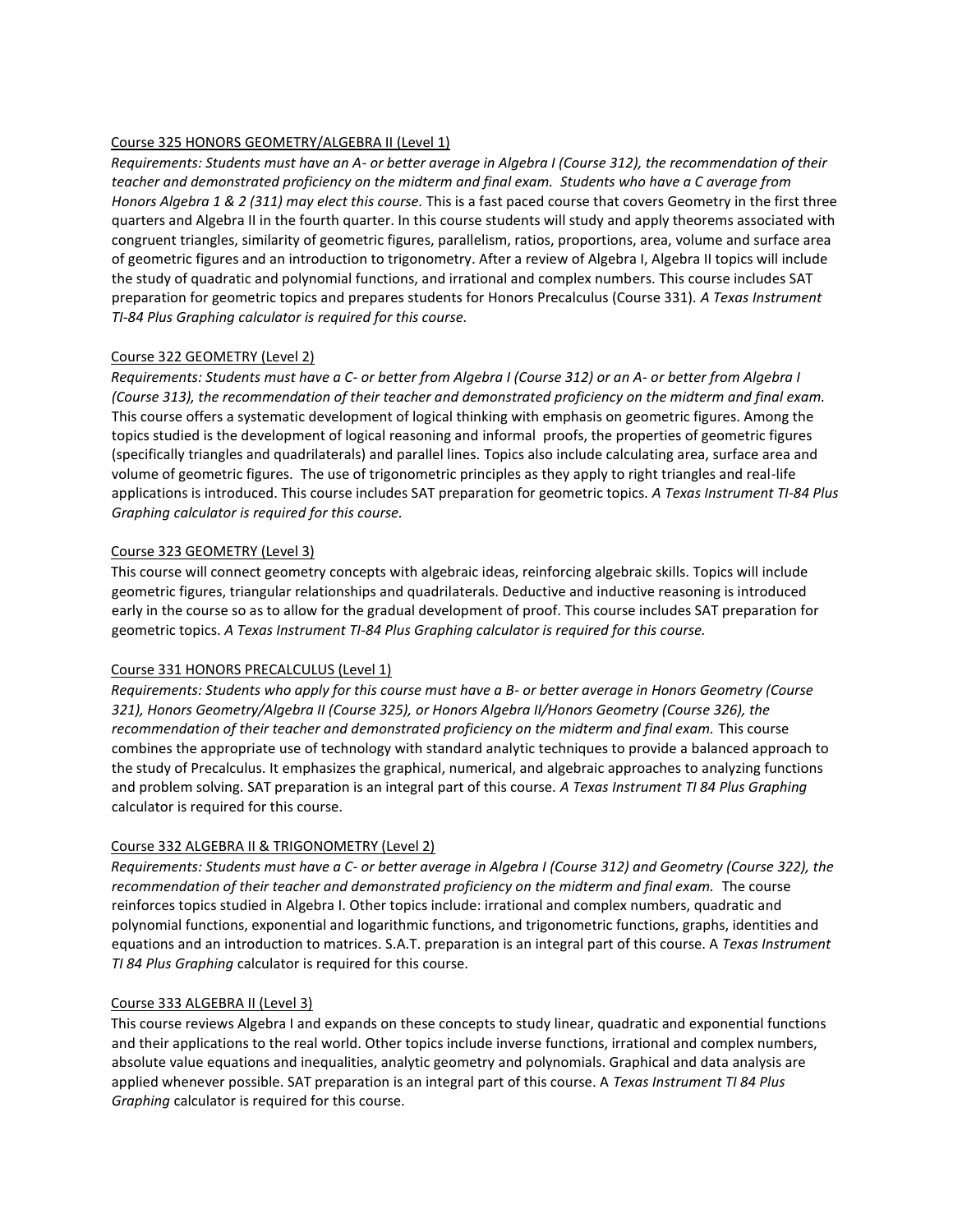# Course 325 HONORS GEOMETRY/ALGEBRA II (Level 1)

*Requirements: Students must have an A- or better average in Algebra I (Course 312), the recommendation of their teacher and demonstrated proficiency on the midterm and final exam. Students who have a C average from Honors Algebra 1 & 2 (311) may elect this course.* This is a fast paced course that covers Geometry in the first three quarters and Algebra II in the fourth quarter. In this course students will study and apply theorems associated with congruent triangles, similarity of geometric figures, parallelism, ratios, proportions, area, volume and surface area of geometric figures and an introduction to trigonometry. After a review of Algebra I, Algebra II topics will include the study of quadratic and polynomial functions, and irrational and complex numbers. This course includes SAT preparation for geometric topics and prepares students for Honors Precalculus (Course 331). *A Texas Instrument TI-84 Plus Graphing calculator is required for this course.*

# Course 322 GEOMETRY (Level 2)

*Requirements: Students must have a C- or better from Algebra I (Course 312) or an A- or better from Algebra I (Course 313), the recommendation of their teacher and demonstrated proficiency on the midterm and final exam.* This course offers a systematic development of logical thinking with emphasis on geometric figures. Among the topics studied is the development of logical reasoning and informal proofs, the properties of geometric figures (specifically triangles and quadrilaterals) and parallel lines. Topics also include calculating area, surface area and volume of geometric figures. The use of trigonometric principles as they apply to right triangles and real-life applications is introduced. This course includes SAT preparation for geometric topics. *A Texas Instrument TI-84 Plus Graphing calculator is required for this course.*

# Course 323 GEOMETRY (Level 3)

This course will connect geometry concepts with algebraic ideas, reinforcing algebraic skills. Topics will include geometric figures, triangular relationships and quadrilaterals. Deductive and inductive reasoning is introduced early in the course so as to allow for the gradual development of proof. This course includes SAT preparation for geometric topics. *A Texas Instrument TI-84 Plus Graphing calculator is required for this course.*

#### Course 331 HONORS PRECALCULUS (Level 1)

*Requirements: Students who apply for this course must have a B- or better average in Honors Geometry (Course 321), Honors Geometry/Algebra II (Course 325), or Honors Algebra II/Honors Geometry (Course 326), the*  recommendation of their teacher and demonstrated proficiency on the midterm and final exam. This course combines the appropriate use of technology with standard analytic techniques to provide a balanced approach to the study of Precalculus. It emphasizes the graphical, numerical, and algebraic approaches to analyzing functions and problem solving. SAT preparation is an integral part of this course. *A Texas Instrument TI 84 Plus Graphing* calculator is required for this course.

# Course 332 ALGEBRA II & TRIGONOMETRY (Level 2)

*Requirements: Students must have a C- or better average in Algebra I (Course 312) and Geometry (Course 322), the*  recommendation of their teacher and demonstrated proficiency on the midterm and final exam. The course reinforces topics studied in Algebra I. Other topics include: irrational and complex numbers, quadratic and polynomial functions, exponential and logarithmic functions, and trigonometric functions, graphs, identities and equations and an introduction to matrices. S.A.T. preparation is an integral part of this course. A *Texas Instrument TI 84 Plus Graphing* calculator is required for this course.

#### Course 333 ALGEBRA II (Level 3)

This course reviews Algebra I and expands on these concepts to study linear, quadratic and exponential functions and their applications to the real world. Other topics include inverse functions, irrational and complex numbers, absolute value equations and inequalities, analytic geometry and polynomials. Graphical and data analysis are applied whenever possible. SAT preparation is an integral part of this course. A *Texas Instrument TI 84 Plus Graphing* calculator is required for this course.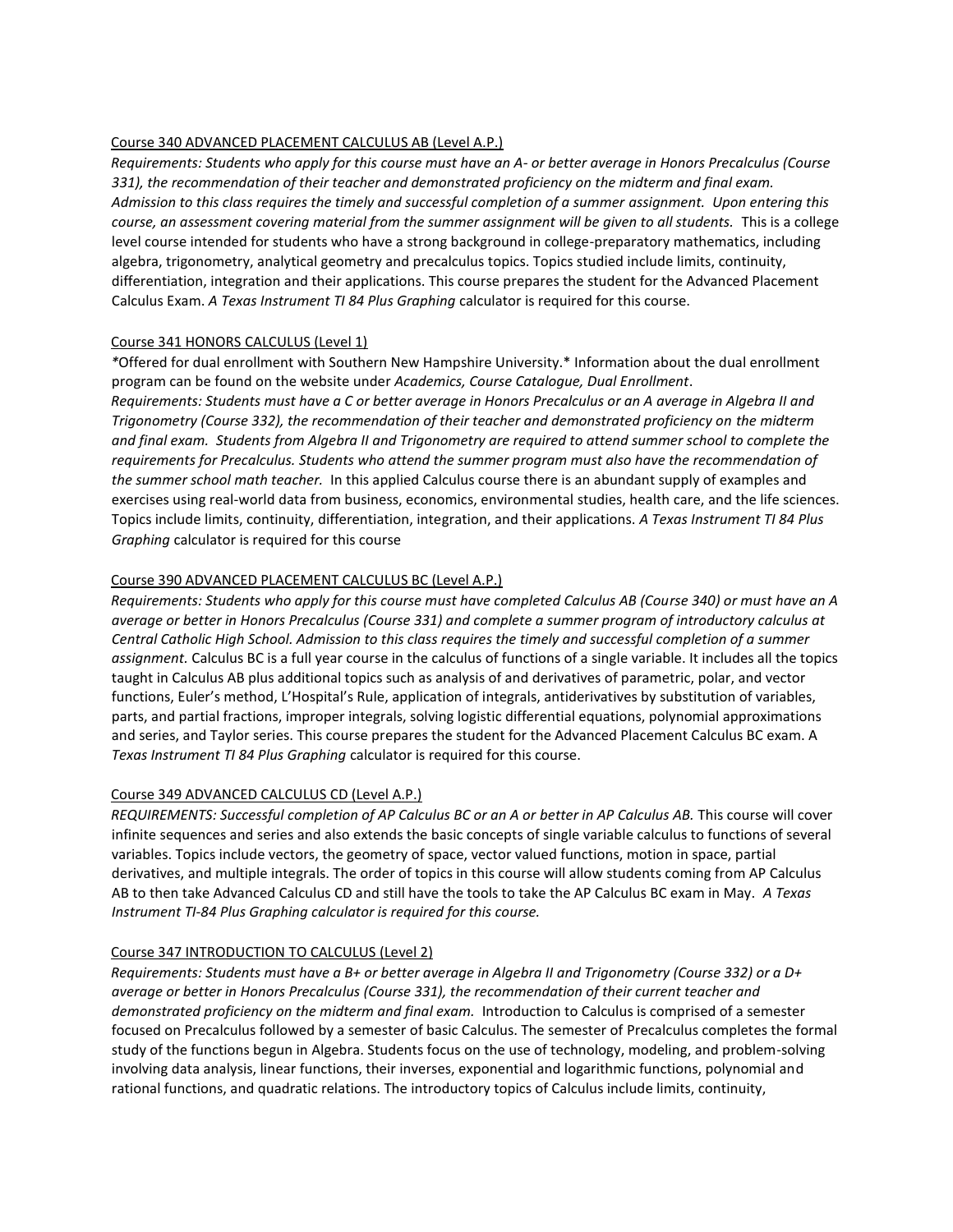# Course 340 ADVANCED PLACEMENT CALCULUS AB (Level A.P.)

*Requirements: Students who apply for this course must have an A- or better average in Honors Precalculus (Course 331), the recommendation of their teacher and demonstrated proficiency on the midterm and final exam. Admission to this class requires the timely and successful completion of a summer assignment. Upon entering this course, an assessment covering material from the summer assignment will be given to all students.* This is a college level course intended for students who have a strong background in college-preparatory mathematics, including algebra, trigonometry, analytical geometry and precalculus topics. Topics studied include limits, continuity, differentiation, integration and their applications. This course prepares the student for the Advanced Placement Calculus Exam. *A Texas Instrument TI 84 Plus Graphing* calculator is required for this course.

# Course 341 HONORS CALCULUS (Level 1)

*\**Offered for dual enrollment with Southern New Hampshire University.\* Information about the dual enrollment program can be found on the website under *Academics, Course Catalogue, Dual Enrollment*. *Requirements: Students must have a C or better average in Honors Precalculus or an A average in Algebra II and Trigonometry (Course 332), the recommendation of their teacher and demonstrated proficiency on the midterm and final exam. Students from Algebra II and Trigonometry are required to attend summer school to complete the requirements for Precalculus. Students who attend the summer program must also have the recommendation of the summer school math teacher.* In this applied Calculus course there is an abundant supply of examples and exercises using real-world data from business, economics, environmental studies, health care, and the life sciences. Topics include limits, continuity, differentiation, integration, and their applications. *A Texas Instrument TI 84 Plus Graphing* calculator is required for this course

# Course 390 ADVANCED PLACEMENT CALCULUS BC (Level A.P.)

*Requirements: Students who apply for this course must have completed Calculus AB (Course 340) or must have an A average or better in Honors Precalculus (Course 331) and complete a summer program of introductory calculus at Central Catholic High School. Admission to this class requires the timely and successful completion of a summer assignment.* Calculus BC is a full year course in the calculus of functions of a single variable. It includes all the topics taught in Calculus AB plus additional topics such as analysis of and derivatives of parametric, polar, and vector functions, Euler's method, L'Hospital's Rule, application of integrals, antiderivatives by substitution of variables, parts, and partial fractions, improper integrals, solving logistic differential equations, polynomial approximations and series, and Taylor series. This course prepares the student for the Advanced Placement Calculus BC exam. A *Texas Instrument TI 84 Plus Graphing* calculator is required for this course.

#### Course 349 ADVANCED CALCULUS CD (Level A.P.)

*REQUIREMENTS: Successful completion of AP Calculus BC or an A or better in AP Calculus AB.* This course will cover infinite sequences and series and also extends the basic concepts of single variable calculus to functions of several variables. Topics include vectors, the geometry of space, vector valued functions, motion in space, partial derivatives, and multiple integrals. The order of topics in this course will allow students coming from AP Calculus AB to then take Advanced Calculus CD and still have the tools to take the AP Calculus BC exam in May. *A Texas Instrument TI-84 Plus Graphing calculator is required for this course.*

#### Course 347 INTRODUCTION TO CALCULUS (Level 2)

*Requirements: Students must have a B+ or better average in Algebra II and Trigonometry (Course 332) or a D+ average or better in Honors Precalculus (Course 331), the recommendation of their current teacher and demonstrated proficiency on the midterm and final exam.* Introduction to Calculus is comprised of a semester focused on Precalculus followed by a semester of basic Calculus. The semester of Precalculus completes the formal study of the functions begun in Algebra. Students focus on the use of technology, modeling, and problem-solving involving data analysis, linear functions, their inverses, exponential and logarithmic functions, polynomial and rational functions, and quadratic relations. The introductory topics of Calculus include limits, continuity,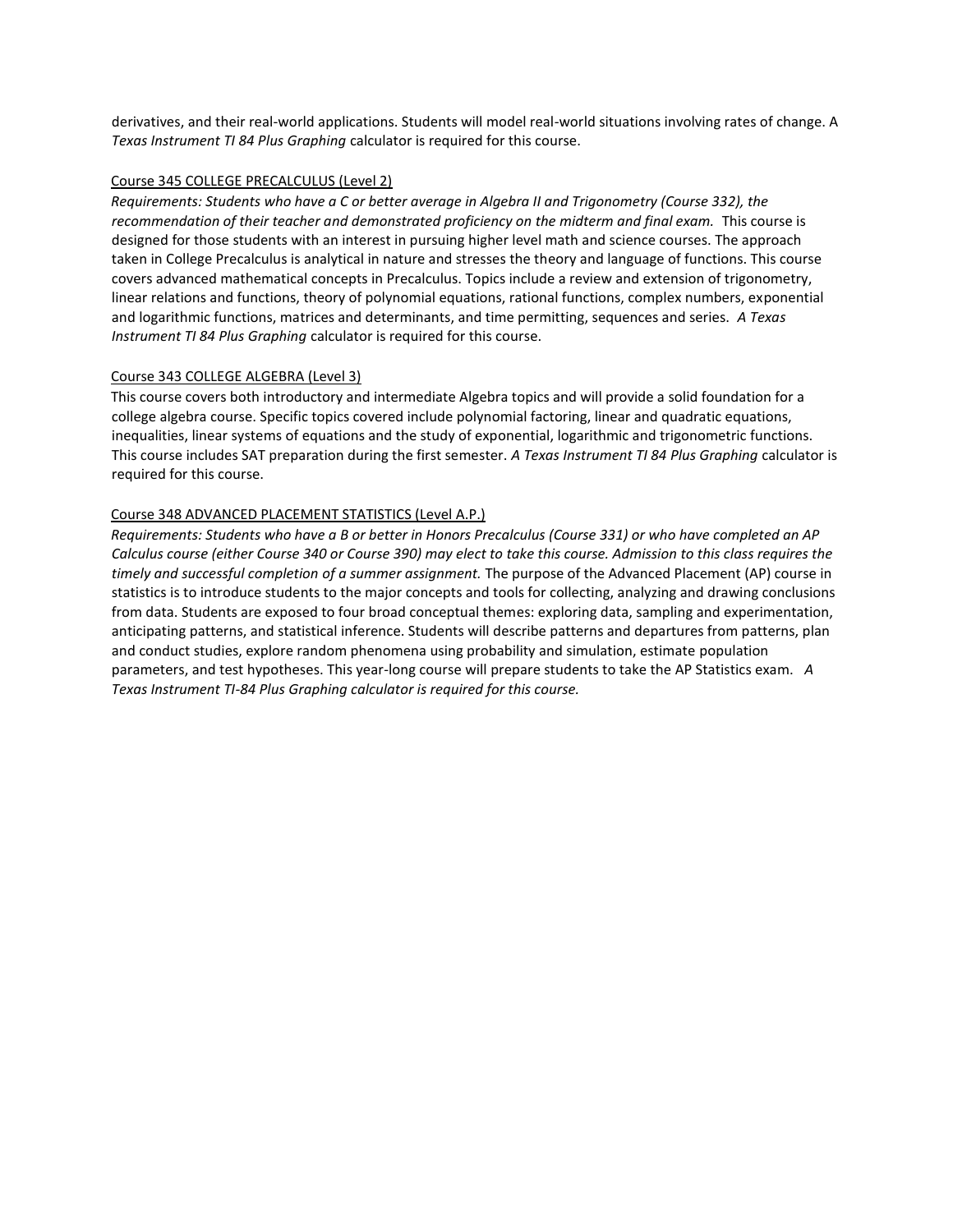derivatives, and their real-world applications. Students will model real-world situations involving rates of change. A *Texas Instrument TI 84 Plus Graphing* calculator is required for this course.

#### Course 345 COLLEGE PRECALCULUS (Level 2)

*Requirements: Students who have a C or better average in Algebra II and Trigonometry (Course 332), the*  recommendation of their teacher and demonstrated proficiency on the midterm and final exam. This course is designed for those students with an interest in pursuing higher level math and science courses. The approach taken in College Precalculus is analytical in nature and stresses the theory and language of functions. This course covers advanced mathematical concepts in Precalculus. Topics include a review and extension of trigonometry, linear relations and functions, theory of polynomial equations, rational functions, complex numbers, exponential and logarithmic functions, matrices and determinants, and time permitting, sequences and series. *A Texas Instrument TI 84 Plus Graphing* calculator is required for this course.

#### Course 343 COLLEGE ALGEBRA (Level 3)

This course covers both introductory and intermediate Algebra topics and will provide a solid foundation for a college algebra course. Specific topics covered include polynomial factoring, linear and quadratic equations, inequalities, linear systems of equations and the study of exponential, logarithmic and trigonometric functions. This course includes SAT preparation during the first semester. *A Texas Instrument TI 84 Plus Graphing* calculator is required for this course.

# Course 348 ADVANCED PLACEMENT STATISTICS (Level A.P.)

*Requirements: Students who have a B or better in Honors Precalculus (Course 331) or who have completed an AP Calculus course (either Course 340 or Course 390) may elect to take this course. Admission to this class requires the timely and successful completion of a summer assignment.* The purpose of the Advanced Placement (AP) course in statistics is to introduce students to the major concepts and tools for collecting, analyzing and drawing conclusions from data. Students are exposed to four broad conceptual themes: exploring data, sampling and experimentation, anticipating patterns, and statistical inference. Students will describe patterns and departures from patterns, plan and conduct studies, explore random phenomena using probability and simulation, estimate population parameters, and test hypotheses. This year-long course will prepare students to take the AP Statistics exam. *A Texas Instrument TI-84 Plus Graphing calculator is required for this course.*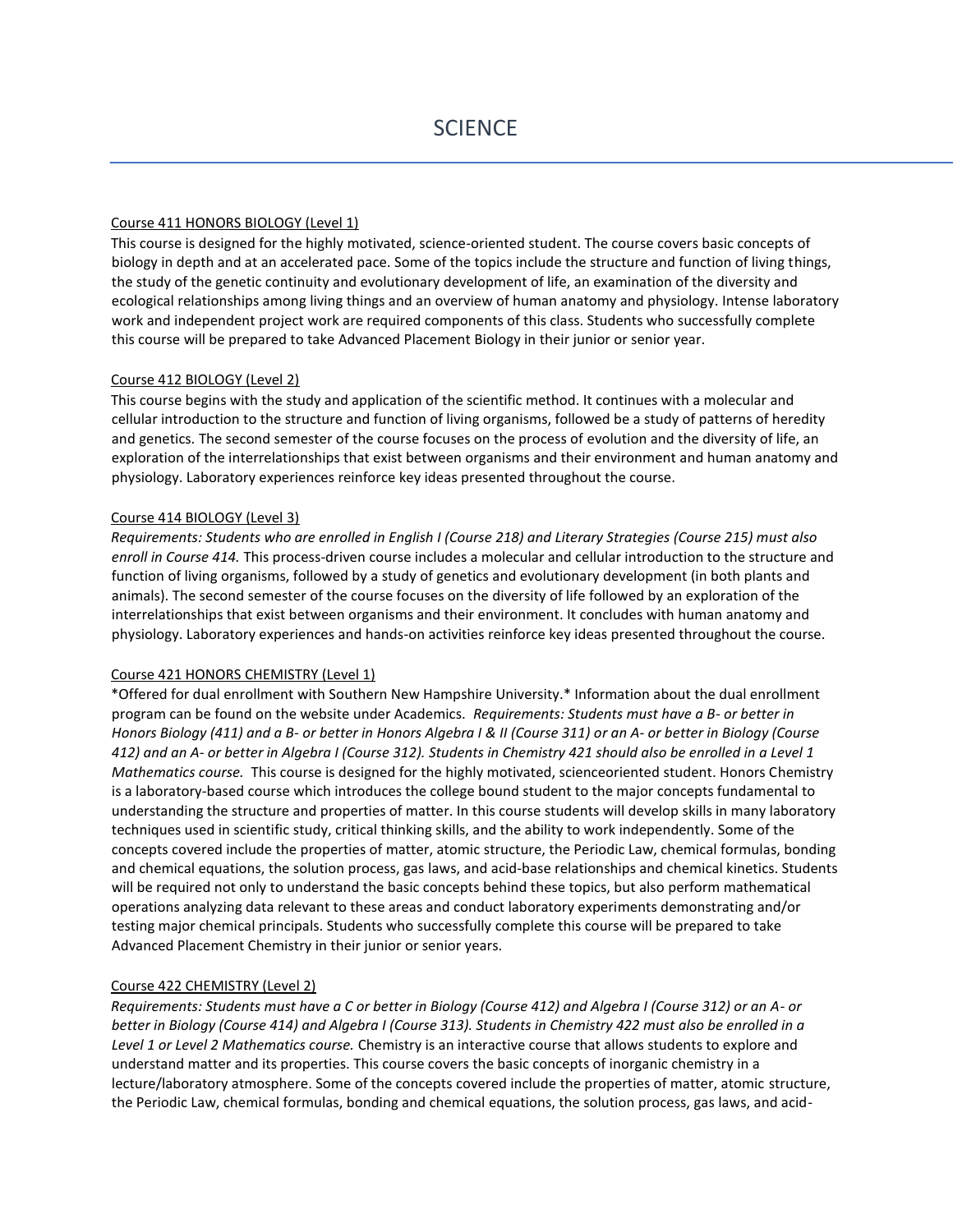#### Course 411 HONORS BIOLOGY (Level 1)

This course is designed for the highly motivated, science-oriented student. The course covers basic concepts of biology in depth and at an accelerated pace. Some of the topics include the structure and function of living things, the study of the genetic continuity and evolutionary development of life, an examination of the diversity and ecological relationships among living things and an overview of human anatomy and physiology. Intense laboratory work and independent project work are required components of this class. Students who successfully complete this course will be prepared to take Advanced Placement Biology in their junior or senior year.

# Course 412 BIOLOGY (Level 2)

This course begins with the study and application of the scientific method. It continues with a molecular and cellular introduction to the structure and function of living organisms, followed be a study of patterns of heredity and genetics. The second semester of the course focuses on the process of evolution and the diversity of life, an exploration of the interrelationships that exist between organisms and their environment and human anatomy and physiology. Laboratory experiences reinforce key ideas presented throughout the course.

#### Course 414 BIOLOGY (Level 3)

*Requirements: Students who are enrolled in English I (Course 218) and Literary Strategies (Course 215) must also enroll in Course 414.* This process-driven course includes a molecular and cellular introduction to the structure and function of living organisms, followed by a study of genetics and evolutionary development (in both plants and animals). The second semester of the course focuses on the diversity of life followed by an exploration of the interrelationships that exist between organisms and their environment. It concludes with human anatomy and physiology. Laboratory experiences and hands-on activities reinforce key ideas presented throughout the course.

#### Course 421 HONORS CHEMISTRY (Level 1)

\*Offered for dual enrollment with Southern New Hampshire University.\* Information about the dual enrollment program can be found on the website under Academics. *Requirements: Students must have a B- or better in Honors Biology (411) and a B- or better in Honors Algebra I & II (Course 311) or an A- or better in Biology (Course 412) and an A- or better in Algebra I (Course 312). Students in Chemistry 421 should also be enrolled in a Level 1 Mathematics course.* This course is designed for the highly motivated, scienceoriented student. Honors Chemistry is a laboratory-based course which introduces the college bound student to the major concepts fundamental to understanding the structure and properties of matter. In this course students will develop skills in many laboratory techniques used in scientific study, critical thinking skills, and the ability to work independently. Some of the concepts covered include the properties of matter, atomic structure, the Periodic Law, chemical formulas, bonding and chemical equations, the solution process, gas laws, and acid-base relationships and chemical kinetics. Students will be required not only to understand the basic concepts behind these topics, but also perform mathematical operations analyzing data relevant to these areas and conduct laboratory experiments demonstrating and/or testing major chemical principals. Students who successfully complete this course will be prepared to take Advanced Placement Chemistry in their junior or senior years.

#### Course 422 CHEMISTRY (Level 2)

*Requirements: Students must have a C or better in Biology (Course 412) and Algebra I (Course 312) or an A- or better in Biology (Course 414) and Algebra I (Course 313). Students in Chemistry 422 must also be enrolled in a Level 1 or Level 2 Mathematics course.* Chemistry is an interactive course that allows students to explore and understand matter and its properties. This course covers the basic concepts of inorganic chemistry in a lecture/laboratory atmosphere. Some of the concepts covered include the properties of matter, atomic structure, the Periodic Law, chemical formulas, bonding and chemical equations, the solution process, gas laws, and acid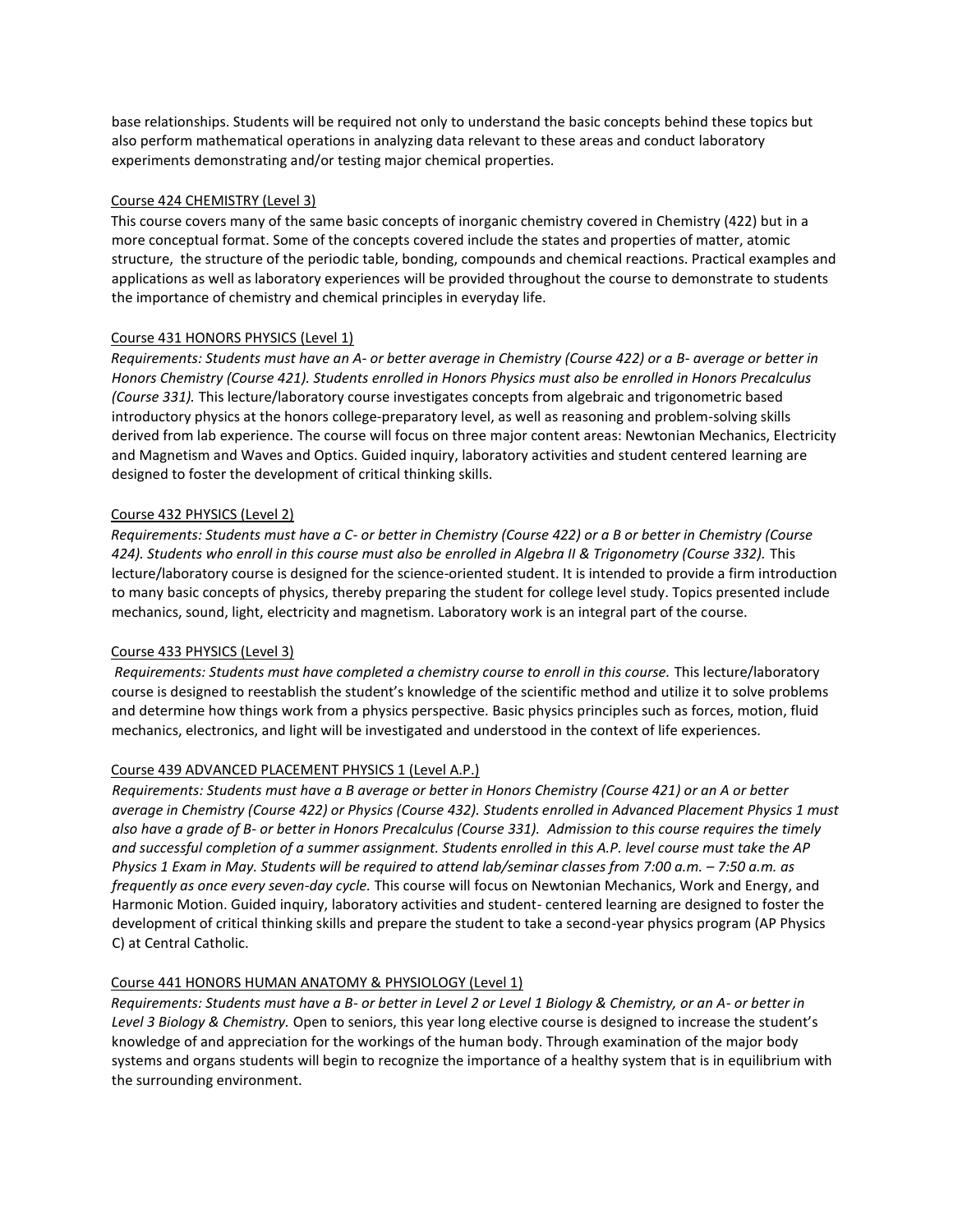base relationships. Students will be required not only to understand the basic concepts behind these topics but also perform mathematical operations in analyzing data relevant to these areas and conduct laboratory experiments demonstrating and/or testing major chemical properties.

# Course 424 CHEMISTRY (Level 3)

This course covers many of the same basic concepts of inorganic chemistry covered in Chemistry (422) but in a more conceptual format. Some of the concepts covered include the states and properties of matter, atomic structure, the structure of the periodic table, bonding, compounds and chemical reactions. Practical examples and applications as well as laboratory experiences will be provided throughout the course to demonstrate to students the importance of chemistry and chemical principles in everyday life.

# Course 431 HONORS PHYSICS (Level 1)

*Requirements: Students must have an A- or better average in Chemistry (Course 422) or a B- average or better in Honors Chemistry (Course 421). Students enrolled in Honors Physics must also be enrolled in Honors Precalculus (Course 331).* This lecture/laboratory course investigates concepts from algebraic and trigonometric based introductory physics at the honors college-preparatory level, as well as reasoning and problem-solving skills derived from lab experience. The course will focus on three major content areas: Newtonian Mechanics, Electricity and Magnetism and Waves and Optics. Guided inquiry, laboratory activities and student centered learning are designed to foster the development of critical thinking skills.

# Course 432 PHYSICS (Level 2)

*Requirements: Students must have a C- or better in Chemistry (Course 422) or a B or better in Chemistry (Course 424). Students who enroll in this course must also be enrolled in Algebra II & Trigonometry (Course 332).* This lecture/laboratory course is designed for the science-oriented student. It is intended to provide a firm introduction to many basic concepts of physics, thereby preparing the student for college level study. Topics presented include mechanics, sound, light, electricity and magnetism. Laboratory work is an integral part of the course.

#### Course 433 PHYSICS (Level 3)

*Requirements: Students must have completed a chemistry course to enroll in this course.* This lecture/laboratory course is designed to reestablish the student's knowledge of the scientific method and utilize it to solve problems and determine how things work from a physics perspective. Basic physics principles such as forces, motion, fluid mechanics, electronics, and light will be investigated and understood in the context of life experiences.

# Course 439 ADVANCED PLACEMENT PHYSICS 1 (Level A.P.)

*Requirements: Students must have a B average or better in Honors Chemistry (Course 421) or an A or better average in Chemistry (Course 422) or Physics (Course 432). Students enrolled in Advanced Placement Physics 1 must also have a grade of B- or better in Honors Precalculus (Course 331). Admission to this course requires the timely and successful completion of a summer assignment. Students enrolled in this A.P. level course must take the AP Physics 1 Exam in May. Students will be required to attend lab/seminar classes from 7:00 a.m. – 7:50 a.m. as frequently as once every seven-day cycle.* This course will focus on Newtonian Mechanics, Work and Energy, and Harmonic Motion. Guided inquiry, laboratory activities and student- centered learning are designed to foster the development of critical thinking skills and prepare the student to take a second-year physics program (AP Physics C) at Central Catholic.

#### Course 441 HONORS HUMAN ANATOMY & PHYSIOLOGY (Level 1)

*Requirements: Students must have a B- or better in Level 2 or Level 1 Biology & Chemistry, or an A- or better in Level 3 Biology & Chemistry.* Open to seniors, this year long elective course is designed to increase the student's knowledge of and appreciation for the workings of the human body. Through examination of the major body systems and organs students will begin to recognize the importance of a healthy system that is in equilibrium with the surrounding environment.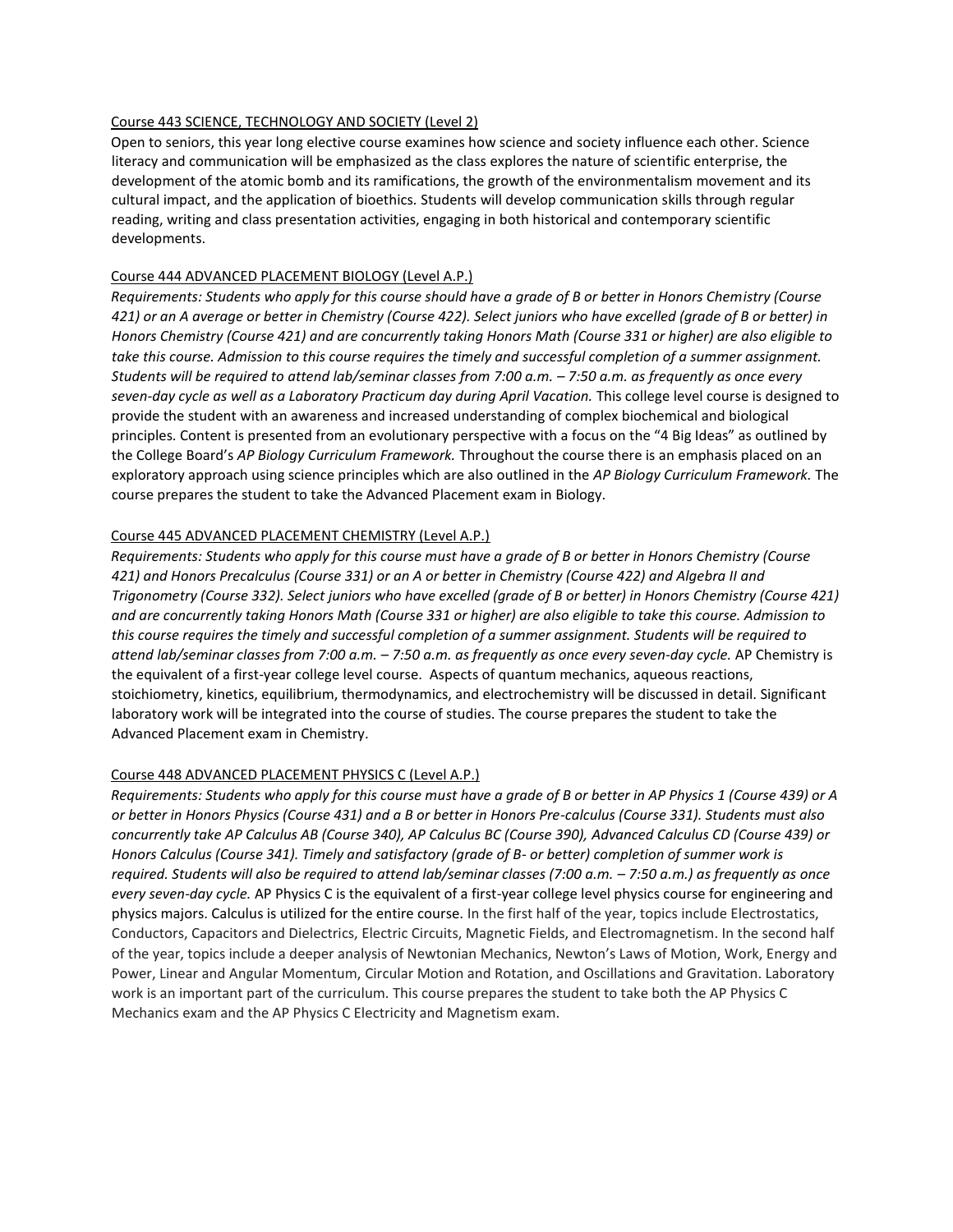#### Course 443 SCIENCE, TECHNOLOGY AND SOCIETY (Level 2)

Open to seniors, this year long elective course examines how science and society influence each other. Science literacy and communication will be emphasized as the class explores the nature of scientific enterprise, the development of the atomic bomb and its ramifications, the growth of the environmentalism movement and its cultural impact, and the application of bioethics*.* Students will develop communication skills through regular reading, writing and class presentation activities, engaging in both historical and contemporary scientific developments.

#### Course 444 ADVANCED PLACEMENT BIOLOGY (Level A.P.)

*Requirements: Students who apply for this course should have a grade of B or better in Honors Chemistry (Course 421) or an A average or better in Chemistry (Course 422). Select juniors who have excelled (grade of B or better) in Honors Chemistry (Course 421) and are concurrently taking Honors Math (Course 331 or higher) are also eligible to*  take this course. Admission to this course requires the timely and successful completion of a summer assignment. *Students will be required to attend lab/seminar classes from 7:00 a.m. – 7:50 a.m. as frequently as once every*  seven-day cycle as well as a Laboratory Practicum day during April Vacation. This college level course is designed to provide the student with an awareness and increased understanding of complex biochemical and biological principles. Content is presented from an evolutionary perspective with a focus on the "4 Big Ideas" as outlined by the College Board's *AP Biology Curriculum Framework.* Throughout the course there is an emphasis placed on an exploratory approach using science principles which are also outlined in the *AP Biology Curriculum Framework.* The course prepares the student to take the Advanced Placement exam in Biology.

#### Course 445 ADVANCED PLACEMENT CHEMISTRY (Level A.P.)

*Requirements: Students who apply for this course must have a grade of B or better in Honors Chemistry (Course 421) and Honors Precalculus (Course 331) or an A or better in Chemistry (Course 422) and Algebra II and Trigonometry (Course 332). Select juniors who have excelled (grade of B or better) in Honors Chemistry (Course 421) and are concurrently taking Honors Math (Course 331 or higher) are also eligible to take this course. Admission to this course requires the timely and successful completion of a summer assignment. Students will be required to attend lab/seminar classes from 7:00 a.m. – 7:50 a.m. as frequently as once every seven-day cycle.* AP Chemistry is the equivalent of a first-year college level course. Aspects of quantum mechanics, aqueous reactions, stoichiometry, kinetics, equilibrium, thermodynamics, and electrochemistry will be discussed in detail. Significant laboratory work will be integrated into the course of studies. The course prepares the student to take the Advanced Placement exam in Chemistry.

#### Course 448 ADVANCED PLACEMENT PHYSICS C (Level A.P.)

*Requirements: Students who apply for this course must have a grade of B or better in AP Physics 1 (Course 439) or A or better in Honors Physics (Course 431) and a B or better in Honors Pre-calculus (Course 331). Students must also concurrently take AP Calculus AB (Course 340), AP Calculus BC (Course 390), Advanced Calculus CD (Course 439) or Honors Calculus (Course 341). Timely and satisfactory (grade of B- or better) completion of summer work is required. Students will also be required to attend lab/seminar classes (7:00 a.m. – 7:50 a.m.) as frequently as once every seven-day cycle.* AP Physics C is the equivalent of a first-year college level physics course for engineering and physics majors. Calculus is utilized for the entire course. In the first half of the year, topics include Electrostatics, Conductors, Capacitors and Dielectrics, Electric Circuits, Magnetic Fields, and Electromagnetism. In the second half of the year, topics include a deeper analysis of Newtonian Mechanics, Newton's Laws of Motion, Work, Energy and Power, Linear and Angular Momentum, Circular Motion and Rotation, and Oscillations and Gravitation. Laboratory work is an important part of the curriculum. This course prepares the student to take both the AP Physics C Mechanics exam and the AP Physics C Electricity and Magnetism exam.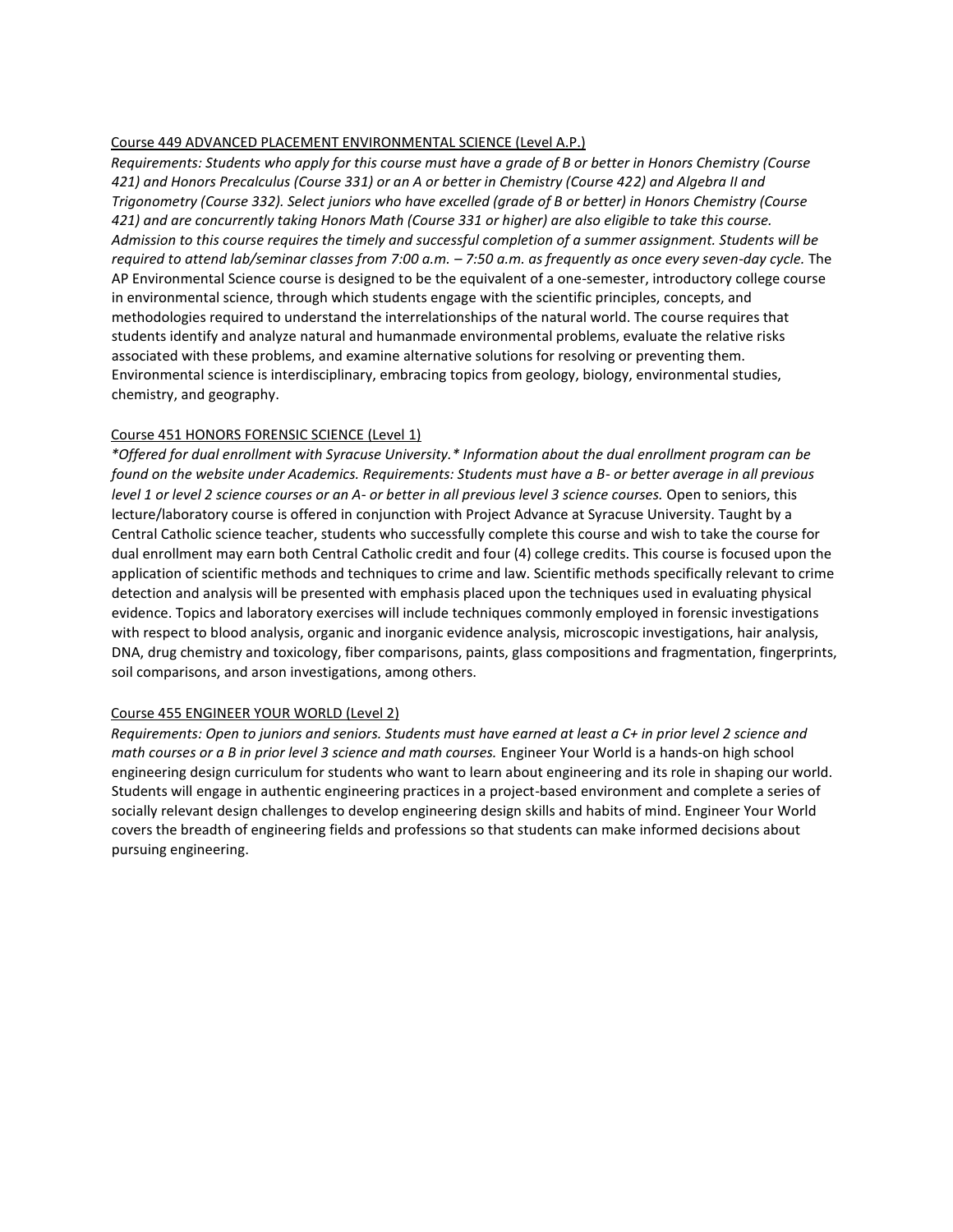#### Course 449 ADVANCED PLACEMENT ENVIRONMENTAL SCIENCE (Level A.P.)

*Requirements: Students who apply for this course must have a grade of B or better in Honors Chemistry (Course 421) and Honors Precalculus (Course 331) or an A or better in Chemistry (Course 422) and Algebra II and Trigonometry (Course 332). Select juniors who have excelled (grade of B or better) in Honors Chemistry (Course 421) and are concurrently taking Honors Math (Course 331 or higher) are also eligible to take this course. Admission to this course requires the timely and successful completion of a summer assignment. Students will be required to attend lab/seminar classes from 7:00 a.m. – 7:50 a.m. as frequently as once every seven-day cycle.* The AP Environmental Science course is designed to be the equivalent of a one-semester, introductory college course in environmental science, through which students engage with the scientific principles, concepts, and methodologies required to understand the interrelationships of the natural world. The course requires that students identify and analyze natural and humanmade environmental problems, evaluate the relative risks associated with these problems, and examine alternative solutions for resolving or preventing them. Environmental science is interdisciplinary, embracing topics from geology, biology, environmental studies, chemistry, and geography.

#### Course 451 HONORS FORENSIC SCIENCE (Level 1)

*\*Offered for dual enrollment with Syracuse University.\* Information about the dual enrollment program can be found on the website under Academics. Requirements: Students must have a B- or better average in all previous level 1 or level 2 science courses or an A- or better in all previous level 3 science courses.* Open to seniors, this lecture/laboratory course is offered in conjunction with Project Advance at Syracuse University. Taught by a Central Catholic science teacher, students who successfully complete this course and wish to take the course for dual enrollment may earn both Central Catholic credit and four (4) college credits. This course is focused upon the application of scientific methods and techniques to crime and law. Scientific methods specifically relevant to crime detection and analysis will be presented with emphasis placed upon the techniques used in evaluating physical evidence. Topics and laboratory exercises will include techniques commonly employed in forensic investigations with respect to blood analysis, organic and inorganic evidence analysis, microscopic investigations, hair analysis, DNA, drug chemistry and toxicology, fiber comparisons, paints, glass compositions and fragmentation, fingerprints, soil comparisons, and arson investigations, among others.

#### Course 455 ENGINEER YOUR WORLD (Level 2)

*Requirements: Open to juniors and seniors. Students must have earned at least a C+ in prior level 2 science and math courses or a B in prior level 3 science and math courses.* Engineer Your World is a hands-on high school engineering design curriculum for students who want to learn about engineering and its role in shaping our world. Students will engage in authentic engineering practices in a project-based environment and complete a series of socially relevant design challenges to develop engineering design skills and habits of mind. Engineer Your World covers the breadth of engineering fields and professions so that students can make informed decisions about pursuing engineering.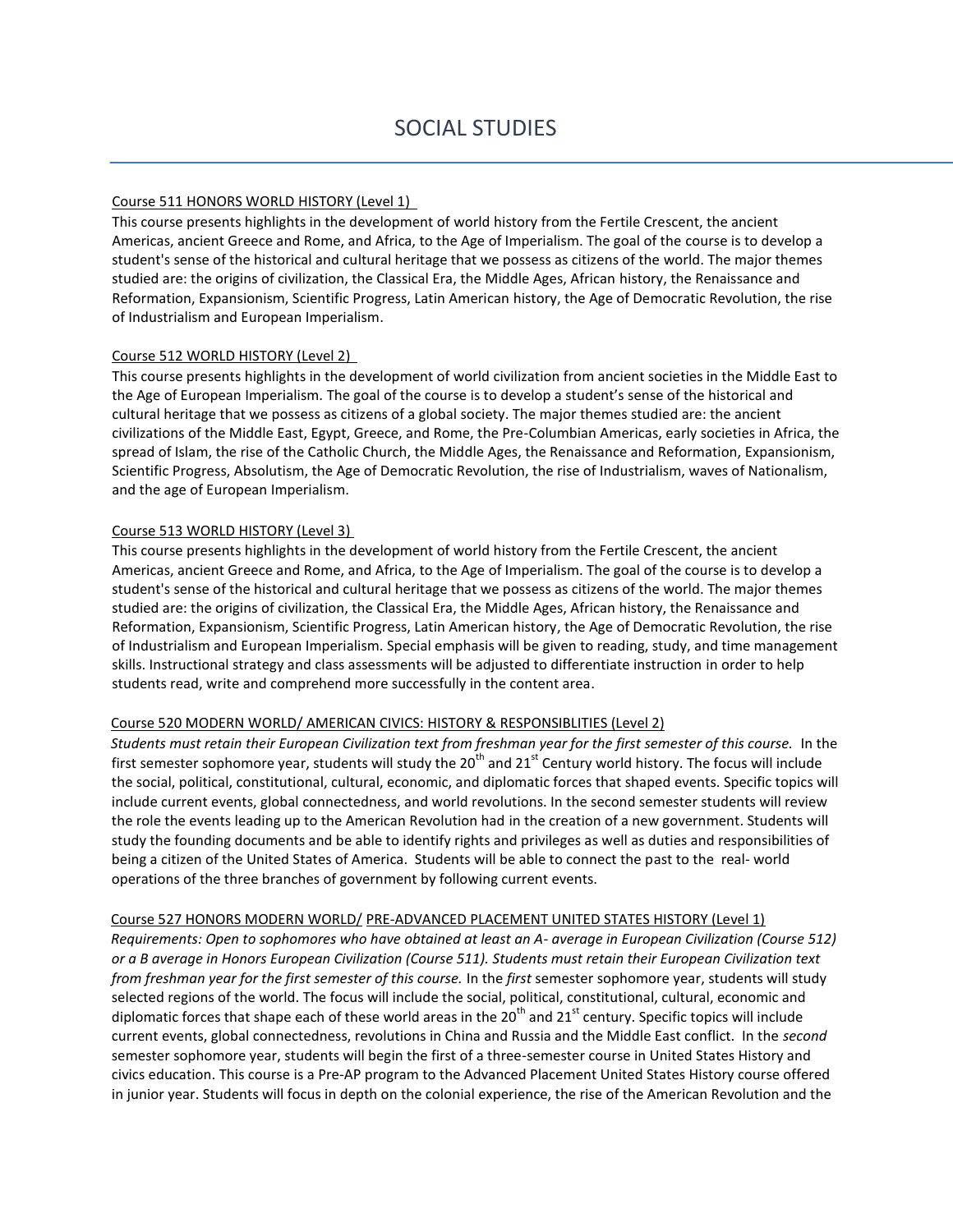#### Course 511 HONORS WORLD HISTORY (Level 1)

This course presents highlights in the development of world history from the Fertile Crescent, the ancient Americas, ancient Greece and Rome, and Africa, to the Age of Imperialism. The goal of the course is to develop a student's sense of the historical and cultural heritage that we possess as citizens of the world. The major themes studied are: the origins of civilization, the Classical Era, the Middle Ages, African history, the Renaissance and Reformation, Expansionism, Scientific Progress, Latin American history, the Age of Democratic Revolution, the rise of Industrialism and European Imperialism.

#### Course 512 WORLD HISTORY (Level 2)

This course presents highlights in the development of world civilization from ancient societies in the Middle East to the Age of European Imperialism. The goal of the course is to develop a student's sense of the historical and cultural heritage that we possess as citizens of a global society. The major themes studied are: the ancient civilizations of the Middle East, Egypt, Greece, and Rome, the Pre-Columbian Americas, early societies in Africa, the spread of Islam, the rise of the Catholic Church, the Middle Ages, the Renaissance and Reformation, Expansionism, Scientific Progress, Absolutism, the Age of Democratic Revolution, the rise of Industrialism, waves of Nationalism, and the age of European Imperialism.

#### Course 513 WORLD HISTORY (Level 3)

This course presents highlights in the development of world history from the Fertile Crescent, the ancient Americas, ancient Greece and Rome, and Africa, to the Age of Imperialism. The goal of the course is to develop a student's sense of the historical and cultural heritage that we possess as citizens of the world. The major themes studied are: the origins of civilization, the Classical Era, the Middle Ages, African history, the Renaissance and Reformation, Expansionism, Scientific Progress, Latin American history, the Age of Democratic Revolution, the rise of Industrialism and European Imperialism. Special emphasis will be given to reading, study, and time management skills. Instructional strategy and class assessments will be adjusted to differentiate instruction in order to help students read, write and comprehend more successfully in the content area.

#### Course 520 MODERN WORLD/ AMERICAN CIVICS: HISTORY & RESPONSIBLITIES (Level 2)

*Students must retain their European Civilization text from freshman year for the first semester of this course.* In the first semester sophomore year, students will study the 20<sup>th</sup> and 21<sup>st</sup> Century world history. The focus will include the social, political, constitutional, cultural, economic, and diplomatic forces that shaped events. Specific topics will include current events, global connectedness, and world revolutions. In the second semester students will review the role the events leading up to the American Revolution had in the creation of a new government. Students will study the founding documents and be able to identify rights and privileges as well as duties and responsibilities of being a citizen of the United States of America. Students will be able to connect the past to the real- world operations of the three branches of government by following current events.

#### Course 527 HONORS MODERN WORLD/ PRE-ADVANCED PLACEMENT UNITED STATES HISTORY (Level 1)

*Requirements: Open to sophomores who have obtained at least an A- average in European Civilization (Course 512) or a B average in Honors European Civilization (Course 511). Students must retain their European Civilization text from freshman year for the first semester of this course.* In the *first* semester sophomore year, students will study selected regions of the world. The focus will include the social, political, constitutional, cultural, economic and diplomatic forces that shape each of these world areas in the 20<sup>th</sup> and  $21^{st}$  century. Specific topics will include current events, global connectedness, revolutions in China and Russia and the Middle East conflict. In the *second* semester sophomore year, students will begin the first of a three-semester course in United States History and civics education. This course is a Pre-AP program to the Advanced Placement United States History course offered in junior year. Students will focus in depth on the colonial experience, the rise of the American Revolution and the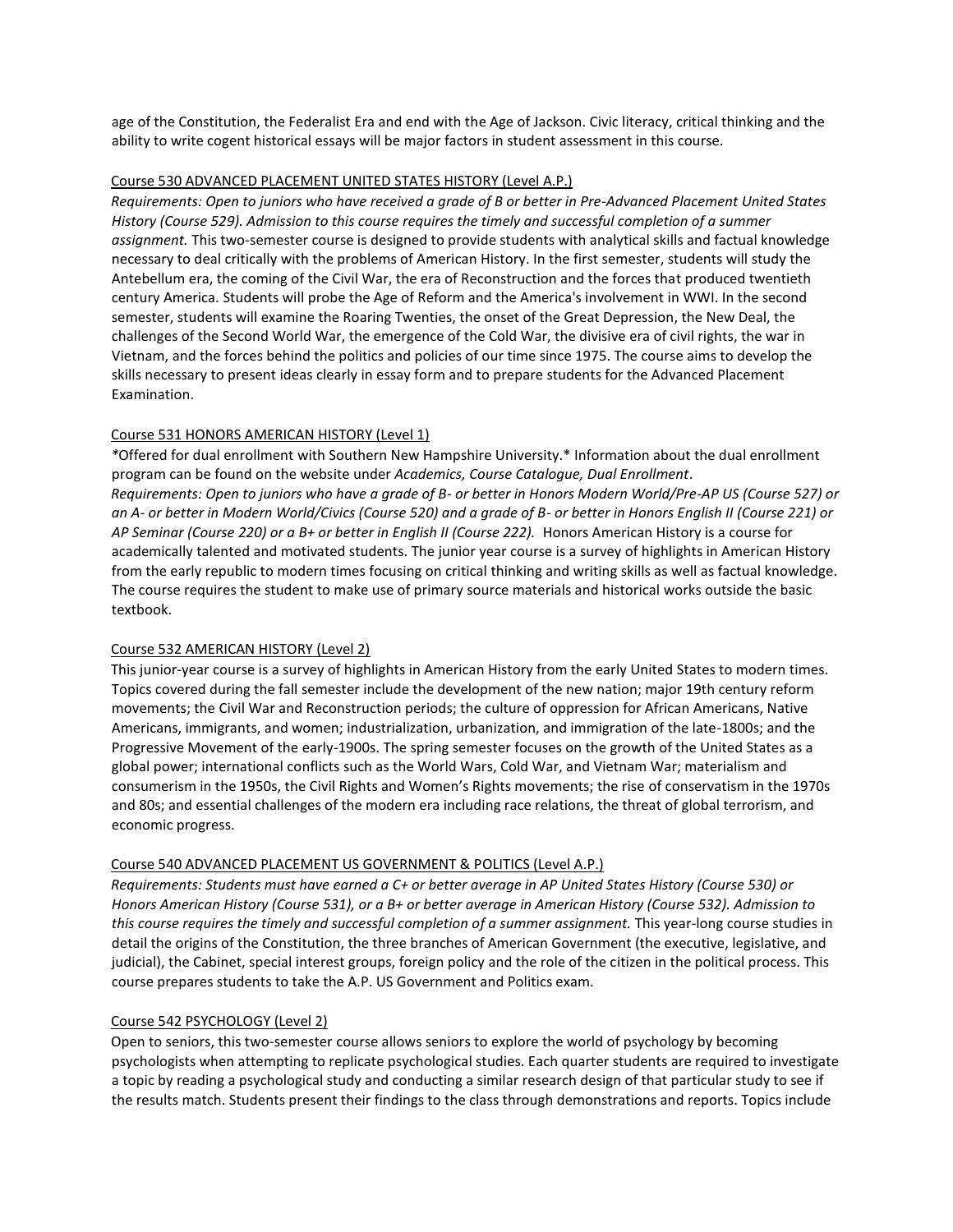age of the Constitution, the Federalist Era and end with the Age of Jackson. Civic literacy, critical thinking and the ability to write cogent historical essays will be major factors in student assessment in this course.

#### Course 530 ADVANCED PLACEMENT UNITED STATES HISTORY (Level A.P.)

*Requirements: Open to juniors who have received a grade of B or better in Pre-Advanced Placement United States History (Course 529). Admission to this course requires the timely and successful completion of a summer assignment.* This two-semester course is designed to provide students with analytical skills and factual knowledge necessary to deal critically with the problems of American History. In the first semester, students will study the Antebellum era, the coming of the Civil War, the era of Reconstruction and the forces that produced twentieth century America. Students will probe the Age of Reform and the America's involvement in WWI. In the second semester, students will examine the Roaring Twenties, the onset of the Great Depression, the New Deal, the challenges of the Second World War, the emergence of the Cold War, the divisive era of civil rights, the war in Vietnam, and the forces behind the politics and policies of our time since 1975. The course aims to develop the skills necessary to present ideas clearly in essay form and to prepare students for the Advanced Placement Examination.

#### Course 531 HONORS AMERICAN HISTORY (Level 1)

*\**Offered for dual enrollment with Southern New Hampshire University.\* Information about the dual enrollment program can be found on the website under *Academics, Course Catalogue, Dual Enrollment*. *Requirements: Open to juniors who have a grade of B- or better in Honors Modern World/Pre-AP US (Course 527) or an A- or better in Modern World/Civics (Course 520) and a grade of B- or better in Honors English II (Course 221) or AP Seminar (Course 220) or a B+ or better in English II (Course 222).* Honors American History is a course for academically talented and motivated students. The junior year course is a survey of highlights in American History from the early republic to modern times focusing on critical thinking and writing skills as well as factual knowledge. The course requires the student to make use of primary source materials and historical works outside the basic textbook.

#### Course 532 AMERICAN HISTORY (Level 2)

This junior-year course is a survey of highlights in American History from the early United States to modern times. Topics covered during the fall semester include the development of the new nation; major 19th century reform movements; the Civil War and Reconstruction periods; the culture of oppression for African Americans, Native Americans, immigrants, and women; industrialization, urbanization, and immigration of the late-1800s; and the Progressive Movement of the early-1900s. The spring semester focuses on the growth of the United States as a global power; international conflicts such as the World Wars, Cold War, and Vietnam War; materialism and consumerism in the 1950s, the Civil Rights and Women's Rights movements; the rise of conservatism in the 1970s and 80s; and essential challenges of the modern era including race relations, the threat of global terrorism, and economic progress.

#### Course 540 ADVANCED PLACEMENT US GOVERNMENT & POLITICS (Level A.P.)

*Requirements: Students must have earned a C+ or better average in AP United States History (Course 530) or Honors American History (Course 531), or a B+ or better average in American History (Course 532). Admission to*  this course requires the timely and successful completion of a summer assignment. This year-long course studies in detail the origins of the Constitution, the three branches of American Government (the executive, legislative, and judicial), the Cabinet, special interest groups, foreign policy and the role of the citizen in the political process. This course prepares students to take the A.P. US Government and Politics exam.

#### Course 542 PSYCHOLOGY (Level 2)

Open to seniors, this two-semester course allows seniors to explore the world of psychology by becoming psychologists when attempting to replicate psychological studies. Each quarter students are required to investigate a topic by reading a psychological study and conducting a similar research design of that particular study to see if the results match. Students present their findings to the class through demonstrations and reports. Topics include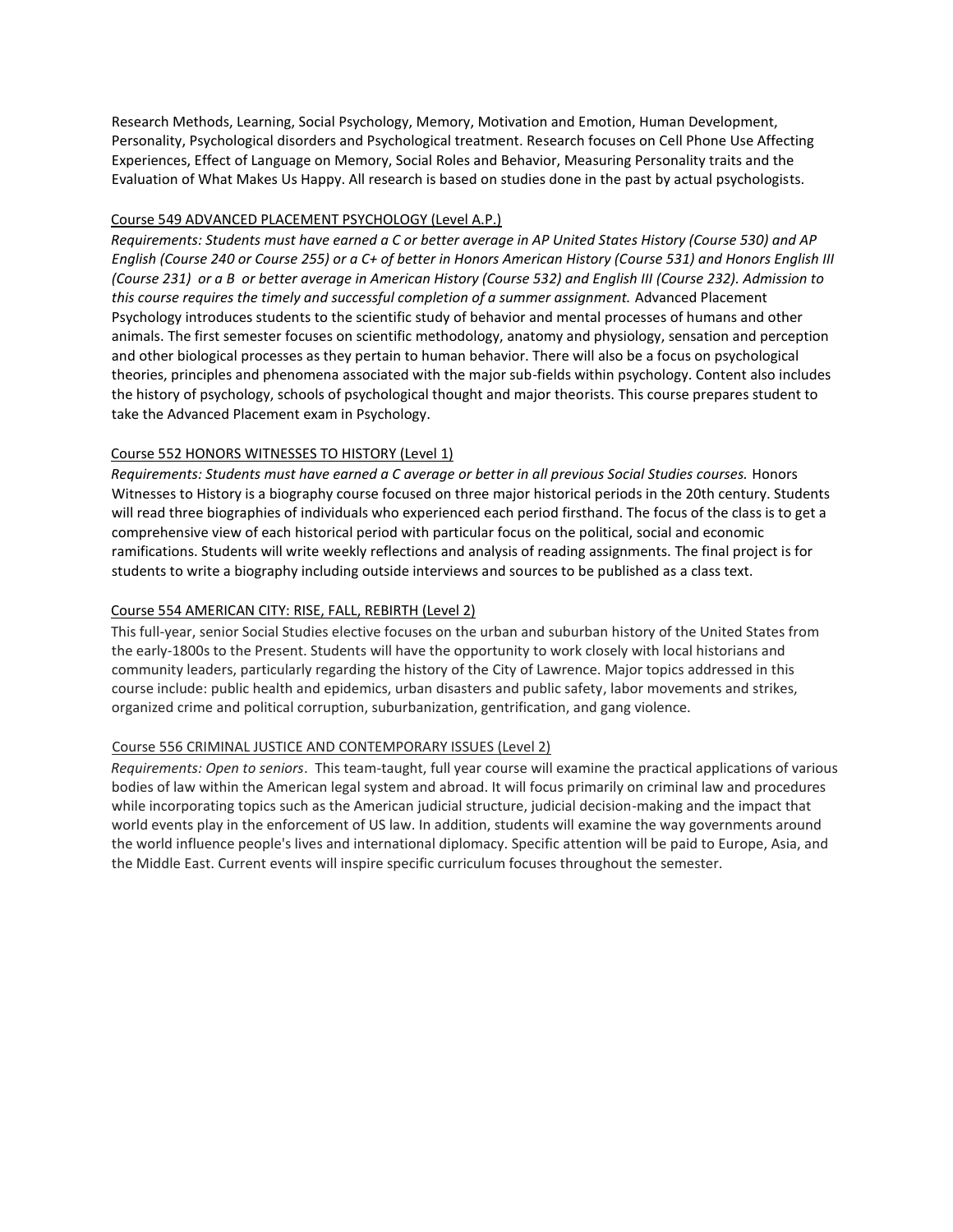Research Methods, Learning, Social Psychology, Memory, Motivation and Emotion, Human Development, Personality, Psychological disorders and Psychological treatment. Research focuses on Cell Phone Use Affecting Experiences, Effect of Language on Memory, Social Roles and Behavior, Measuring Personality traits and the Evaluation of What Makes Us Happy. All research is based on studies done in the past by actual psychologists.

# Course 549 ADVANCED PLACEMENT PSYCHOLOGY (Level A.P.)

*Requirements: Students must have earned a C or better average in AP United States History (Course 530) and AP English (Course 240 or Course 255) or a C+ of better in Honors American History (Course 531) and Honors English III (Course 231) or a B or better average in American History (Course 532) and English III (Course 232). Admission to this course requires the timely and successful completion of a summer assignment.* Advanced Placement Psychology introduces students to the scientific study of behavior and mental processes of humans and other animals. The first semester focuses on scientific methodology, anatomy and physiology, sensation and perception and other biological processes as they pertain to human behavior. There will also be a focus on psychological theories, principles and phenomena associated with the major sub-fields within psychology. Content also includes the history of psychology, schools of psychological thought and major theorists. This course prepares student to take the Advanced Placement exam in Psychology.

# Course 552 HONORS WITNESSES TO HISTORY (Level 1)

*Requirements: Students must have earned a C average or better in all previous Social Studies courses.* Honors Witnesses to History is a biography course focused on three major historical periods in the 20th century. Students will read three biographies of individuals who experienced each period firsthand. The focus of the class is to get a comprehensive view of each historical period with particular focus on the political, social and economic ramifications. Students will write weekly reflections and analysis of reading assignments. The final project is for students to write a biography including outside interviews and sources to be published as a class text.

# Course 554 AMERICAN CITY: RISE, FALL, REBIRTH (Level 2)

This full-year, senior Social Studies elective focuses on the urban and suburban history of the United States from the early-1800s to the Present. Students will have the opportunity to work closely with local historians and community leaders, particularly regarding the history of the City of Lawrence. Major topics addressed in this course include: public health and epidemics, urban disasters and public safety, labor movements and strikes, organized crime and political corruption, suburbanization, gentrification, and gang violence.

#### Course 556 CRIMINAL JUSTICE AND CONTEMPORARY ISSUES (Level 2)

*Requirements: Open to seniors*. This team-taught, full year course will examine the practical applications of various bodies of law within the American legal system and abroad. It will focus primarily on criminal law and procedures while incorporating topics such as the American judicial structure, judicial decision-making and the impact that world events play in the enforcement of US law. In addition, students will examine the way governments around the world influence people's lives and international diplomacy. Specific attention will be paid to Europe, Asia, and the Middle East. Current events will inspire specific curriculum focuses throughout the semester.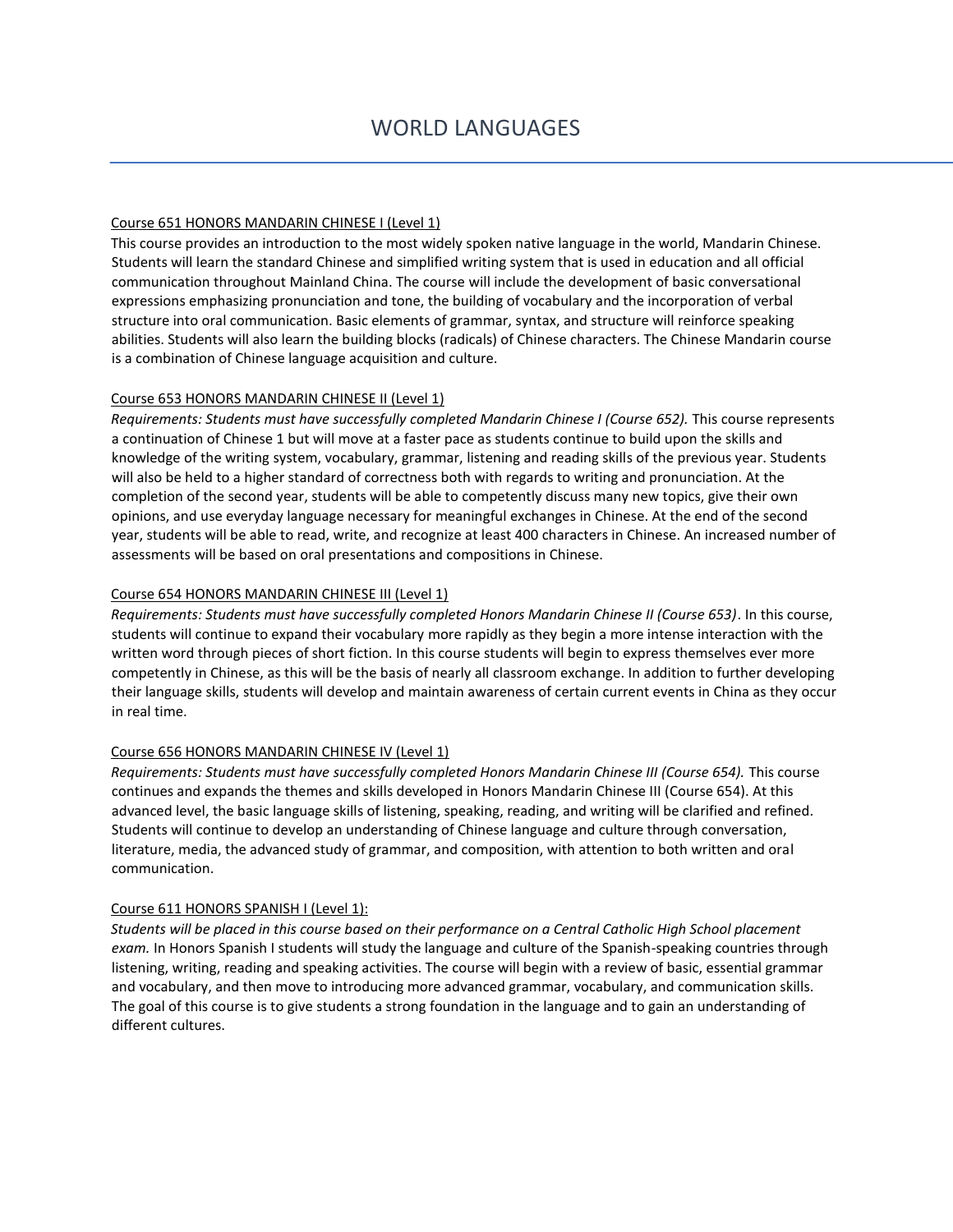# Course 651 HONORS MANDARIN CHINESE I (Level 1)

This course provides an introduction to the most widely spoken native language in the world, Mandarin Chinese. Students will learn the standard Chinese and simplified writing system that is used in education and all official communication throughout Mainland China. The course will include the development of basic conversational expressions emphasizing pronunciation and tone, the building of vocabulary and the incorporation of verbal structure into oral communication. Basic elements of grammar, syntax, and structure will reinforce speaking abilities. Students will also learn the building blocks (radicals) of Chinese characters. The Chinese Mandarin course is a combination of Chinese language acquisition and culture.

#### Course 653 HONORS MANDARIN CHINESE II (Level 1)

*Requirements: Students must have successfully completed Mandarin Chinese I (Course 652).* This course represents a continuation of Chinese 1 but will move at a faster pace as students continue to build upon the skills and knowledge of the writing system, vocabulary, grammar, listening and reading skills of the previous year. Students will also be held to a higher standard of correctness both with regards to writing and pronunciation. At the completion of the second year, students will be able to competently discuss many new topics, give their own opinions, and use everyday language necessary for meaningful exchanges in Chinese. At the end of the second year, students will be able to read, write, and recognize at least 400 characters in Chinese. An increased number of assessments will be based on oral presentations and compositions in Chinese.

# Course 654 HONORS MANDARIN CHINESE III (Level 1)

*Requirements: Students must have successfully completed Honors Mandarin Chinese II (Course 653)*. In this course, students will continue to expand their vocabulary more rapidly as they begin a more intense interaction with the written word through pieces of short fiction. In this course students will begin to express themselves ever more competently in Chinese, as this will be the basis of nearly all classroom exchange. In addition to further developing their language skills, students will develop and maintain awareness of certain current events in China as they occur in real time.

#### Course 656 HONORS MANDARIN CHINESE IV (Level 1)

*Requirements: Students must have successfully completed Honors Mandarin Chinese III (Course 654).* This course continues and expands the themes and skills developed in Honors Mandarin Chinese III (Course 654). At this advanced level, the basic language skills of listening, speaking, reading, and writing will be clarified and refined. Students will continue to develop an understanding of Chinese language and culture through conversation, literature, media, the advanced study of grammar, and composition, with attention to both written and oral communication.

#### Course 611 HONORS SPANISH I (Level 1):

*Students will be placed in this course based on their performance on a Central Catholic High School placement exam.* In Honors Spanish I students will study the language and culture of the Spanish-speaking countries through listening, writing, reading and speaking activities. The course will begin with a review of basic, essential grammar and vocabulary, and then move to introducing more advanced grammar, vocabulary, and communication skills. The goal of this course is to give students a strong foundation in the language and to gain an understanding of different cultures.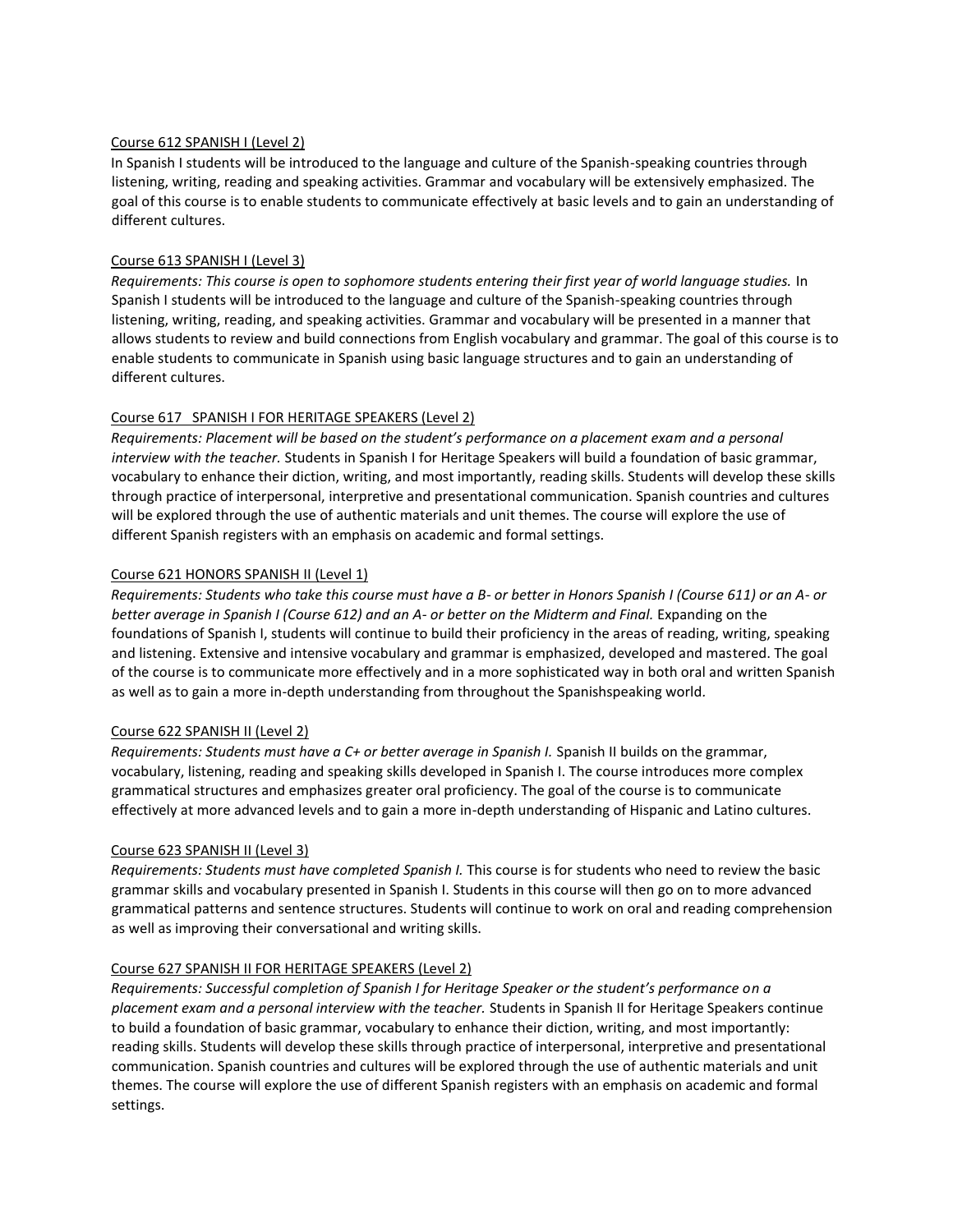#### Course 612 SPANISH I (Level 2)

In Spanish I students will be introduced to the language and culture of the Spanish-speaking countries through listening, writing, reading and speaking activities. Grammar and vocabulary will be extensively emphasized. The goal of this course is to enable students to communicate effectively at basic levels and to gain an understanding of different cultures.

#### Course 613 SPANISH I (Level 3)

*Requirements: This course is open to sophomore students entering their first year of world language studies.* In Spanish I students will be introduced to the language and culture of the Spanish-speaking countries through listening, writing, reading, and speaking activities. Grammar and vocabulary will be presented in a manner that allows students to review and build connections from English vocabulary and grammar. The goal of this course is to enable students to communicate in Spanish using basic language structures and to gain an understanding of different cultures.

#### Course 617 SPANISH I FOR HERITAGE SPEAKERS (Level 2)

*Requirements: Placement will be based on the student's performance on a placement exam and a personal interview with the teacher.* Students in Spanish I for Heritage Speakers will build a foundation of basic grammar, vocabulary to enhance their diction, writing, and most importantly, reading skills. Students will develop these skills through practice of interpersonal, interpretive and presentational communication. Spanish countries and cultures will be explored through the use of authentic materials and unit themes. The course will explore the use of different Spanish registers with an emphasis on academic and formal settings.

#### Course 621 HONORS SPANISH II (Level 1)

*Requirements: Students who take this course must have a B- or better in Honors Spanish I (Course 611) or an A- or better average in Spanish I (Course 612) and an A- or better on the Midterm and Final.* Expanding on the foundations of Spanish I, students will continue to build their proficiency in the areas of reading, writing, speaking and listening. Extensive and intensive vocabulary and grammar is emphasized, developed and mastered. The goal of the course is to communicate more effectively and in a more sophisticated way in both oral and written Spanish as well as to gain a more in-depth understanding from throughout the Spanishspeaking world*.* 

#### Course 622 SPANISH II (Level 2)

*Requirements: Students must have a C+ or better average in Spanish I.* Spanish II builds on the grammar, vocabulary, listening, reading and speaking skills developed in Spanish I. The course introduces more complex grammatical structures and emphasizes greater oral proficiency. The goal of the course is to communicate effectively at more advanced levels and to gain a more in-depth understanding of Hispanic and Latino cultures.

#### Course 623 SPANISH II (Level 3)

*Requirements: Students must have completed Spanish I.* This course is for students who need to review the basic grammar skills and vocabulary presented in Spanish I. Students in this course will then go on to more advanced grammatical patterns and sentence structures. Students will continue to work on oral and reading comprehension as well as improving their conversational and writing skills.

#### Course 627 SPANISH II FOR HERITAGE SPEAKERS (Level 2)

*Requirements: Successful completion of Spanish I for Heritage Speaker or the student's performance on a placement exam and a personal interview with the teacher.* Students in Spanish II for Heritage Speakers continue to build a foundation of basic grammar, vocabulary to enhance their diction, writing, and most importantly: reading skills. Students will develop these skills through practice of interpersonal, interpretive and presentational communication. Spanish countries and cultures will be explored through the use of authentic materials and unit themes. The course will explore the use of different Spanish registers with an emphasis on academic and formal settings.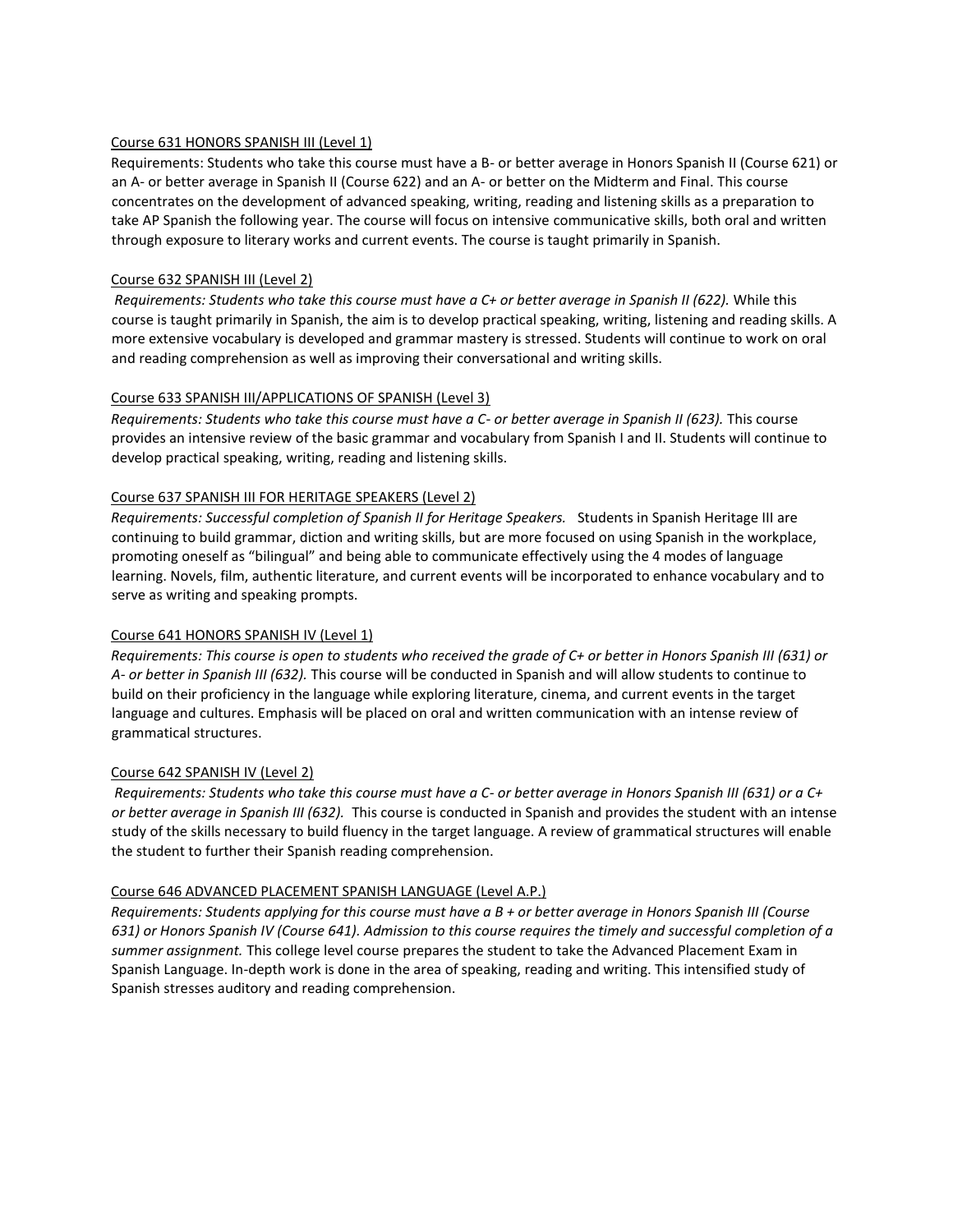#### Course 631 HONORS SPANISH III (Level 1)

Requirements: Students who take this course must have a B- or better average in Honors Spanish II (Course 621) or an A- or better average in Spanish II (Course 622) and an A- or better on the Midterm and Final. This course concentrates on the development of advanced speaking, writing, reading and listening skills as a preparation to take AP Spanish the following year. The course will focus on intensive communicative skills, both oral and written through exposure to literary works and current events. The course is taught primarily in Spanish.

#### Course 632 SPANISH III (Level 2)

*Requirements: Students who take this course must have a C+ or better average in Spanish II (622).* While this course is taught primarily in Spanish, the aim is to develop practical speaking, writing, listening and reading skills. A more extensive vocabulary is developed and grammar mastery is stressed. Students will continue to work on oral and reading comprehension as well as improving their conversational and writing skills.

#### Course 633 SPANISH III/APPLICATIONS OF SPANISH (Level 3)

*Requirements: Students who take this course must have a C- or better average in Spanish II (623).* This course provides an intensive review of the basic grammar and vocabulary from Spanish I and II. Students will continue to develop practical speaking, writing, reading and listening skills.

#### Course 637 SPANISH III FOR HERITAGE SPEAKERS (Level 2)

*Requirements: Successful completion of Spanish II for Heritage Speakers.* Students in Spanish Heritage III are continuing to build grammar, diction and writing skills, but are more focused on using Spanish in the workplace, promoting oneself as "bilingual" and being able to communicate effectively using the 4 modes of language learning. Novels, film, authentic literature, and current events will be incorporated to enhance vocabulary and to serve as writing and speaking prompts.

#### Course 641 HONORS SPANISH IV (Level 1)

*Requirements: This course is open to students who received the grade of C+ or better in Honors Spanish III (631) or A- or better in Spanish III (632).* This course will be conducted in Spanish and will allow students to continue to build on their proficiency in the language while exploring literature, cinema, and current events in the target language and cultures. Emphasis will be placed on oral and written communication with an intense review of grammatical structures.

#### Course 642 SPANISH IV (Level 2)

*Requirements: Students who take this course must have a C- or better average in Honors Spanish III (631) or a C+ or better average in Spanish III (632).* This course is conducted in Spanish and provides the student with an intense study of the skills necessary to build fluency in the target language. A review of grammatical structures will enable the student to further their Spanish reading comprehension.

#### Course 646 ADVANCED PLACEMENT SPANISH LANGUAGE (Level A.P.)

*Requirements: Students applying for this course must have a B + or better average in Honors Spanish III (Course 631) or Honors Spanish IV (Course 641). Admission to this course requires the timely and successful completion of a summer assignment.* This college level course prepares the student to take the Advanced Placement Exam in Spanish Language. In-depth work is done in the area of speaking, reading and writing. This intensified study of Spanish stresses auditory and reading comprehension.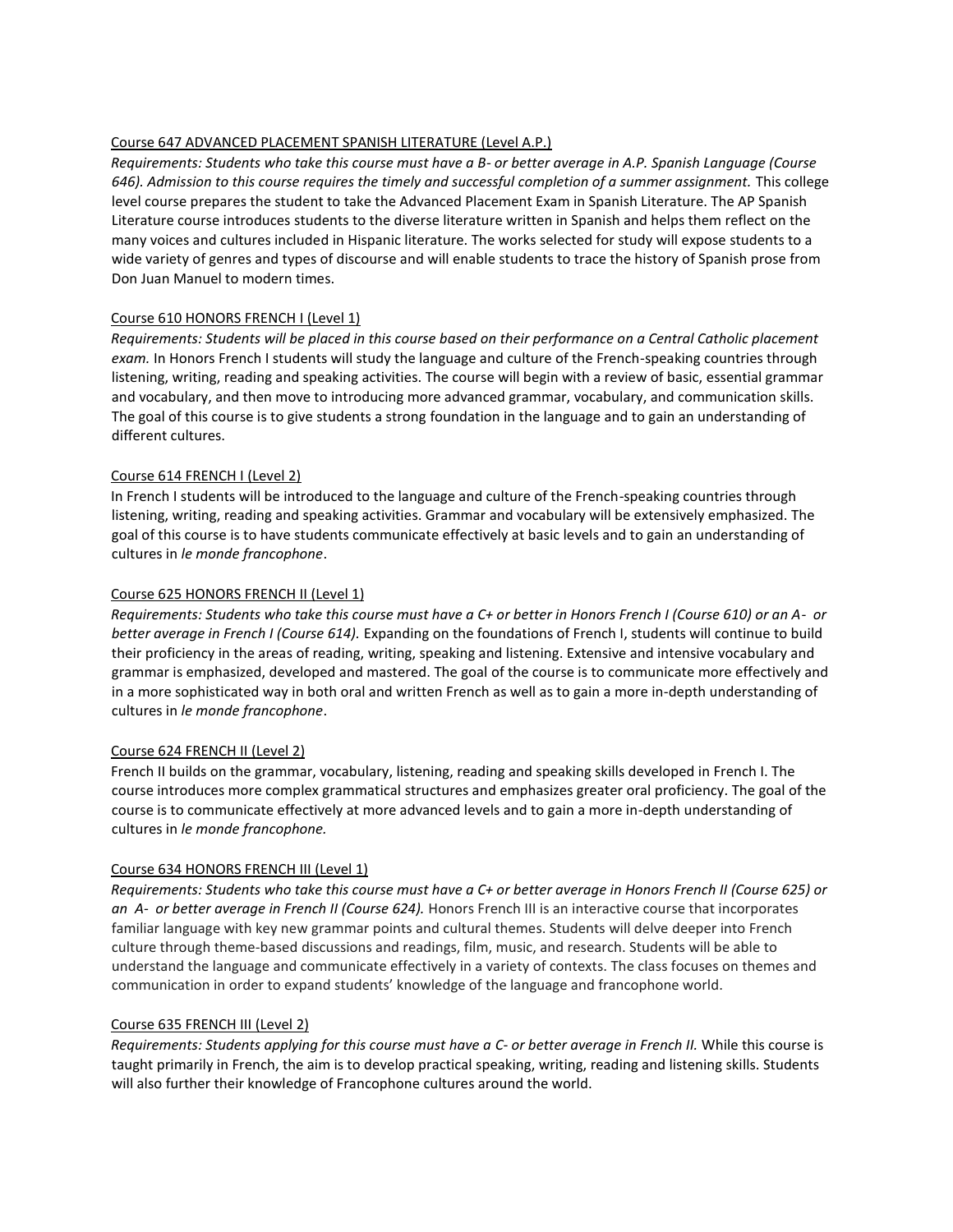# Course 647 ADVANCED PLACEMENT SPANISH LITERATURE (Level A.P.)

*Requirements: Students who take this course must have a B- or better average in A.P. Spanish Language (Course 646). Admission to this course requires the timely and successful completion of a summer assignment.* This college level course prepares the student to take the Advanced Placement Exam in Spanish Literature. The AP Spanish Literature course introduces students to the diverse literature written in Spanish and helps them reflect on the many voices and cultures included in Hispanic literature. The works selected for study will expose students to a wide variety of genres and types of discourse and will enable students to trace the history of Spanish prose from Don Juan Manuel to modern times.

#### Course 610 HONORS FRENCH I (Level 1)

*Requirements: Students will be placed in this course based on their performance on a Central Catholic placement exam.* In Honors French I students will study the language and culture of the French-speaking countries through listening, writing, reading and speaking activities. The course will begin with a review of basic, essential grammar and vocabulary, and then move to introducing more advanced grammar, vocabulary, and communication skills. The goal of this course is to give students a strong foundation in the language and to gain an understanding of different cultures.

# Course 614 FRENCH I (Level 2)

In French I students will be introduced to the language and culture of the French-speaking countries through listening, writing, reading and speaking activities. Grammar and vocabulary will be extensively emphasized. The goal of this course is to have students communicate effectively at basic levels and to gain an understanding of cultures in *le monde francophone*.

# Course 625 HONORS FRENCH II (Level 1)

*Requirements: Students who take this course must have a C+ or better in Honors French I (Course 610) or an A- or better average in French I (Course 614).* Expanding on the foundations of French I, students will continue to build their proficiency in the areas of reading, writing, speaking and listening. Extensive and intensive vocabulary and grammar is emphasized, developed and mastered. The goal of the course is to communicate more effectively and in a more sophisticated way in both oral and written French as well as to gain a more in-depth understanding of cultures in *le monde francophone*.

#### Course 624 FRENCH II (Level 2)

French II builds on the grammar, vocabulary, listening, reading and speaking skills developed in French I. The course introduces more complex grammatical structures and emphasizes greater oral proficiency. The goal of the course is to communicate effectively at more advanced levels and to gain a more in-depth understanding of cultures in *le monde francophone.*

#### Course 634 HONORS FRENCH III (Level 1)

*Requirements: Students who take this course must have a C+ or better average in Honors French II (Course 625) or an A- or better average in French II (Course 624).* Honors French III is an interactive course that incorporates familiar language with key new grammar points and cultural themes. Students will delve deeper into French culture through theme-based discussions and readings, film, music, and research. Students will be able to understand the language and communicate effectively in a variety of contexts. The class focuses on themes and communication in order to expand students' knowledge of the language and francophone world.

#### Course 635 FRENCH III (Level 2)

*Requirements: Students applying for this course must have a C- or better average in French II.* While this course is taught primarily in French, the aim is to develop practical speaking, writing, reading and listening skills. Students will also further their knowledge of Francophone cultures around the world.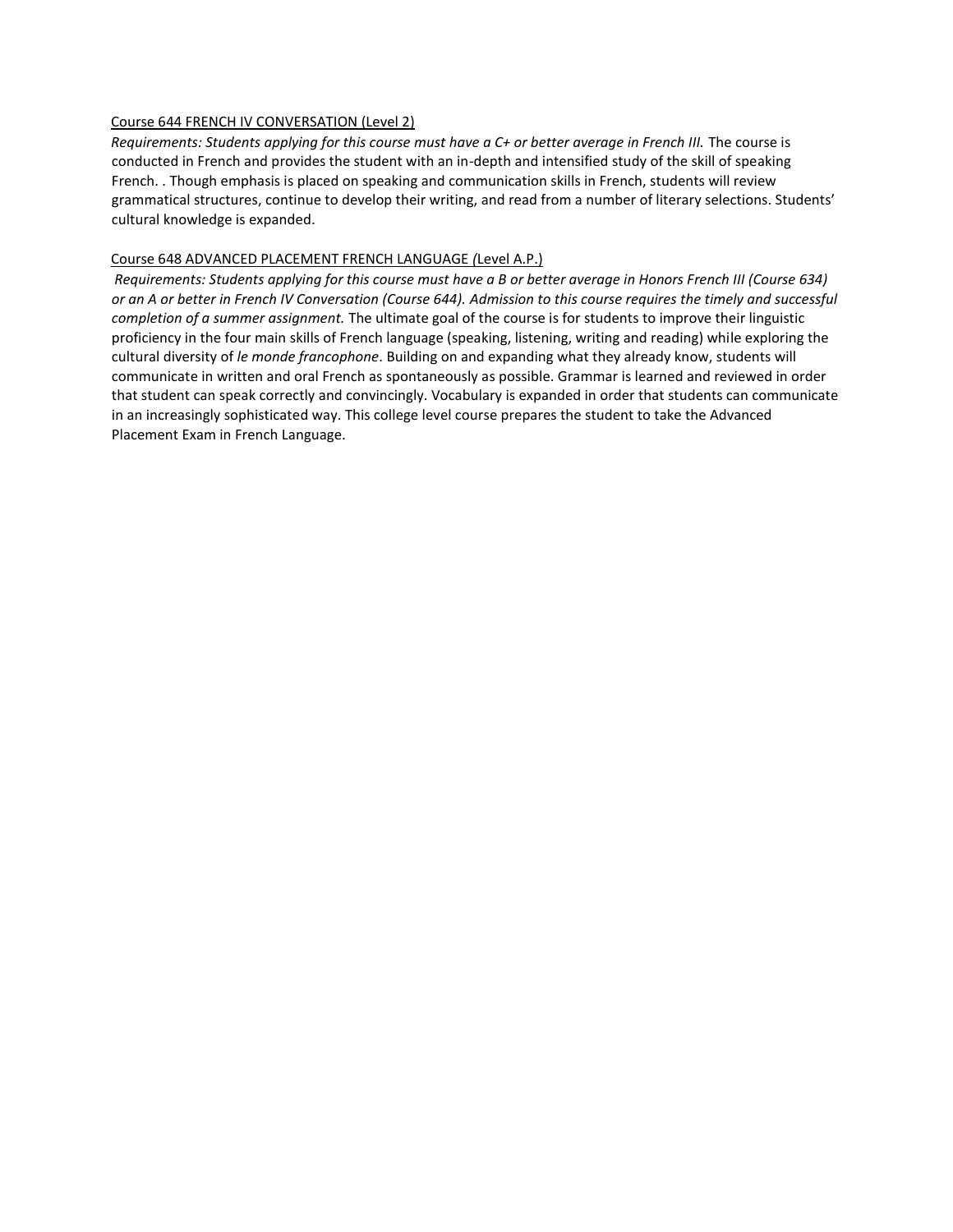#### Course 644 FRENCH IV CONVERSATION (Level 2)

*Requirements: Students applying for this course must have a C+ or better average in French III.* The course is conducted in French and provides the student with an in-depth and intensified study of the skill of speaking French. . Though emphasis is placed on speaking and communication skills in French, students will review grammatical structures, continue to develop their writing, and read from a number of literary selections. Students' cultural knowledge is expanded.

#### Course 648 ADVANCED PLACEMENT FRENCH LANGUAGE *(*Level A.P.)

*Requirements: Students applying for this course must have a B or better average in Honors French III (Course 634) or an A or better in French IV Conversation (Course 644). Admission to this course requires the timely and successful completion of a summer assignment.* The ultimate goal of the course is for students to improve their linguistic proficiency in the four main skills of French language (speaking, listening, writing and reading) while exploring the cultural diversity of *le monde francophone*. Building on and expanding what they already know, students will communicate in written and oral French as spontaneously as possible. Grammar is learned and reviewed in order that student can speak correctly and convincingly. Vocabulary is expanded in order that students can communicate in an increasingly sophisticated way. This college level course prepares the student to take the Advanced Placement Exam in French Language.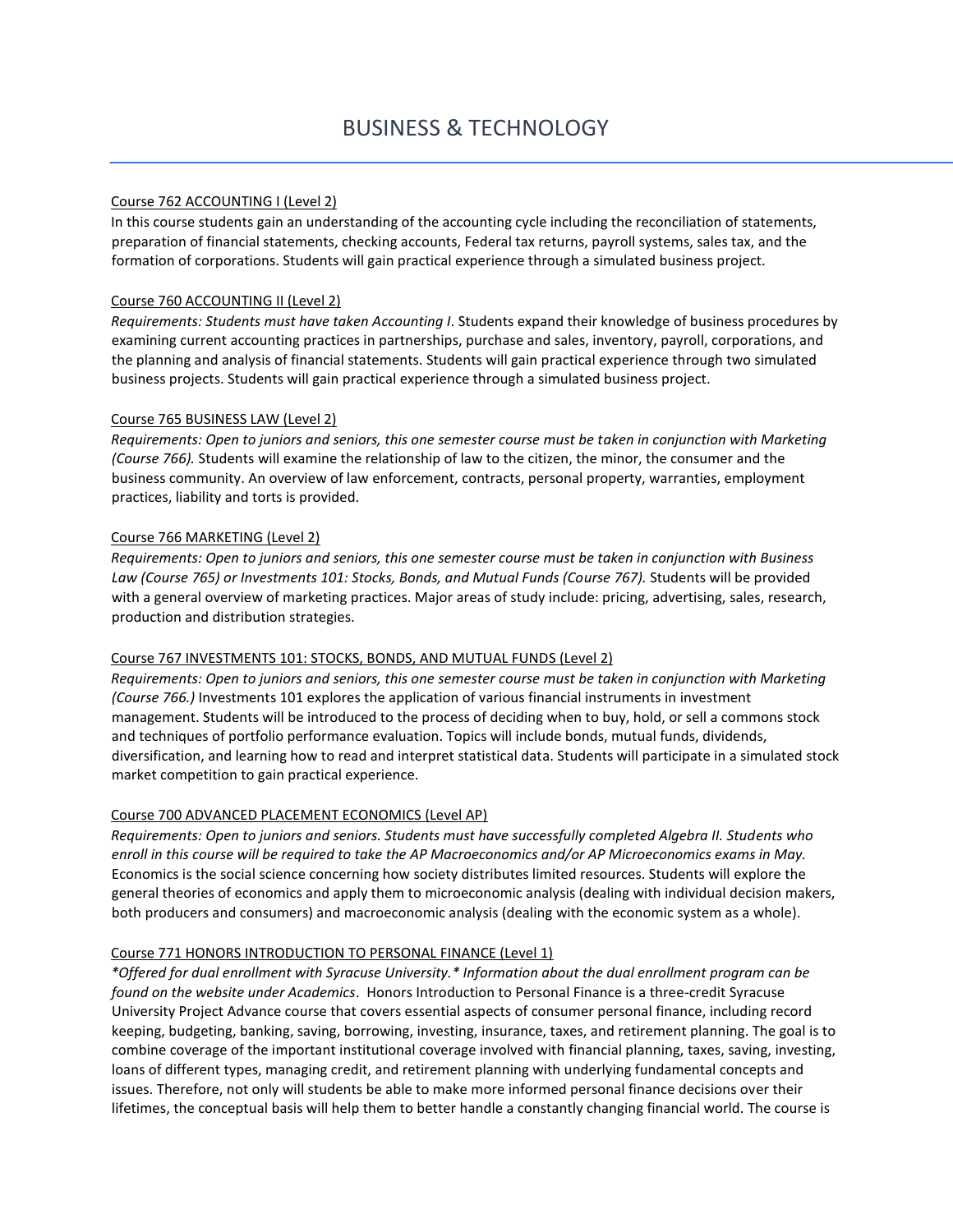#### Course 762 ACCOUNTING I (Level 2)

In this course students gain an understanding of the accounting cycle including the reconciliation of statements, preparation of financial statements, checking accounts, Federal tax returns, payroll systems, sales tax, and the formation of corporations. Students will gain practical experience through a simulated business project.

#### Course 760 ACCOUNTING II (Level 2)

*Requirements: Students must have taken Accounting I*. Students expand their knowledge of business procedures by examining current accounting practices in partnerships, purchase and sales, inventory, payroll, corporations, and the planning and analysis of financial statements. Students will gain practical experience through two simulated business projects. Students will gain practical experience through a simulated business project.

#### Course 765 BUSINESS LAW (Level 2)

*Requirements: Open to juniors and seniors, this one semester course must be taken in conjunction with Marketing (Course 766).* Students will examine the relationship of law to the citizen, the minor, the consumer and the business community. An overview of law enforcement, contracts, personal property, warranties, employment practices, liability and torts is provided.

#### Course 766 MARKETING (Level 2)

*Requirements: Open to juniors and seniors, this one semester course must be taken in conjunction with Business*  Law (Course 765) or Investments 101: Stocks, Bonds, and Mutual Funds (Course 767). Students will be provided with a general overview of marketing practices. Major areas of study include: pricing, advertising, sales, research, production and distribution strategies.

#### Course 767 INVESTMENTS 101: STOCKS, BONDS, AND MUTUAL FUNDS (Level 2)

*Requirements: Open to juniors and seniors, this one semester course must be taken in conjunction with Marketing (Course 766.)* Investments 101 explores the application of various financial instruments in investment management. Students will be introduced to the process of deciding when to buy, hold, or sell a commons stock and techniques of portfolio performance evaluation. Topics will include bonds, mutual funds, dividends, diversification, and learning how to read and interpret statistical data. Students will participate in a simulated stock market competition to gain practical experience.

#### Course 700 ADVANCED PLACEMENT ECONOMICS (Level AP)

*Requirements: Open to juniors and seniors. Students must have successfully completed Algebra II. Students who enroll in this course will be required to take the AP Macroeconomics and/or AP Microeconomics exams in May.* Economics is the social science concerning how society distributes limited resources. Students will explore the general theories of economics and apply them to microeconomic analysis (dealing with individual decision makers, both producers and consumers) and macroeconomic analysis (dealing with the economic system as a whole).

#### Course 771 HONORS INTRODUCTION TO PERSONAL FINANCE (Level 1)

*\*Offered for dual enrollment with Syracuse University.\* Information about the dual enrollment program can be found on the website under Academics*. Honors Introduction to Personal Finance is a three-credit Syracuse University Project Advance course that covers essential aspects of consumer personal finance, including record keeping, budgeting, banking, saving, borrowing, investing, insurance, taxes, and retirement planning. The goal is to combine coverage of the important institutional coverage involved with financial planning, taxes, saving, investing, loans of different types, managing credit, and retirement planning with underlying fundamental concepts and issues. Therefore, not only will students be able to make more informed personal finance decisions over their lifetimes, the conceptual basis will help them to better handle a constantly changing financial world. The course is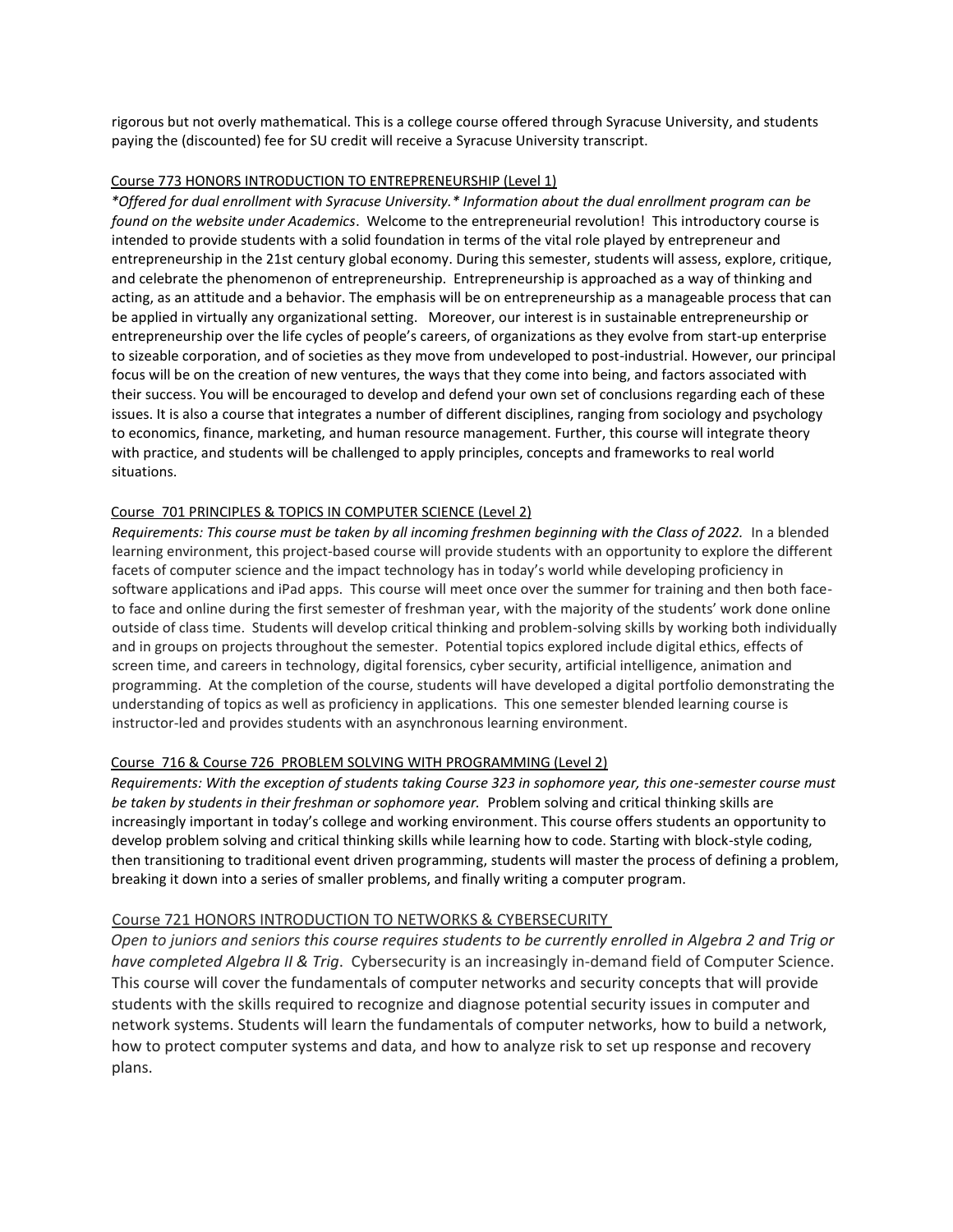rigorous but not overly mathematical. This is a college course offered through Syracuse University, and students paying the (discounted) fee for SU credit will receive a Syracuse University transcript.

#### Course 773 HONORS INTRODUCTION TO ENTREPRENEURSHIP (Level 1)

*\*Offered for dual enrollment with Syracuse University.\* Information about the dual enrollment program can be found on the website under Academics*.Welcome to the entrepreneurial revolution! This introductory course is intended to provide students with a solid foundation in terms of the vital role played by entrepreneur and entrepreneurship in the 21st century global economy. During this semester, students will assess, explore, critique, and celebrate the phenomenon of entrepreneurship. Entrepreneurship is approached as a way of thinking and acting, as an attitude and a behavior. The emphasis will be on entrepreneurship as a manageable process that can be applied in virtually any organizational setting. Moreover, our interest is in sustainable entrepreneurship or entrepreneurship over the life cycles of people's careers, of organizations as they evolve from start-up enterprise to sizeable corporation, and of societies as they move from undeveloped to post-industrial. However, our principal focus will be on the creation of new ventures, the ways that they come into being, and factors associated with their success. You will be encouraged to develop and defend your own set of conclusions regarding each of these issues. It is also a course that integrates a number of different disciplines, ranging from sociology and psychology to economics, finance, marketing, and human resource management. Further, this course will integrate theory with practice, and students will be challenged to apply principles, concepts and frameworks to real world situations.

#### Course 701 PRINCIPLES & TOPICS IN COMPUTER SCIENCE (Level 2)

*Requirements: This course must be taken by all incoming freshmen beginning with the Class of 2022.* In a blended learning environment, this project-based course will provide students with an opportunity to explore the different facets of computer science and the impact technology has in today's world while developing proficiency in software applications and iPad apps. This course will meet once over the summer for training and then both faceto face and online during the first semester of freshman year, with the majority of the students' work done online outside of class time. Students will develop critical thinking and problem-solving skills by working both individually and in groups on projects throughout the semester. Potential topics explored include digital ethics, effects of screen time, and careers in technology, digital forensics, cyber security, artificial intelligence, animation and programming. At the completion of the course, students will have developed a digital portfolio demonstrating the understanding of topics as well as proficiency in applications. This one semester blended learning course is instructor-led and provides students with an asynchronous learning environment.

#### Course 716 & Course 726 PROBLEM SOLVING WITH PROGRAMMING (Level 2)

*Requirements: With the exception of students taking Course 323 in sophomore year, this one-semester course must be taken by students in their freshman or sophomore year.* Problem solving and critical thinking skills are increasingly important in today's college and working environment. This course offers students an opportunity to develop problem solving and critical thinking skills while learning how to code. Starting with block-style coding, then transitioning to traditional event driven programming, students will master the process of defining a problem, breaking it down into a series of smaller problems, and finally writing a computer program.

#### Course 721 HONORS INTRODUCTION TO NETWORKS & CYBERSECURITY

*Open to juniors and seniors this course requires students to be currently enrolled in Algebra 2 and Trig or have completed Algebra II & Trig*. Cybersecurity is an increasingly in-demand field of Computer Science. This course will cover the fundamentals of computer networks and security concepts that will provide students with the skills required to recognize and diagnose potential security issues in computer and network systems. Students will learn the fundamentals of computer networks, how to build a network, how to protect computer systems and data, and how to analyze risk to set up response and recovery plans.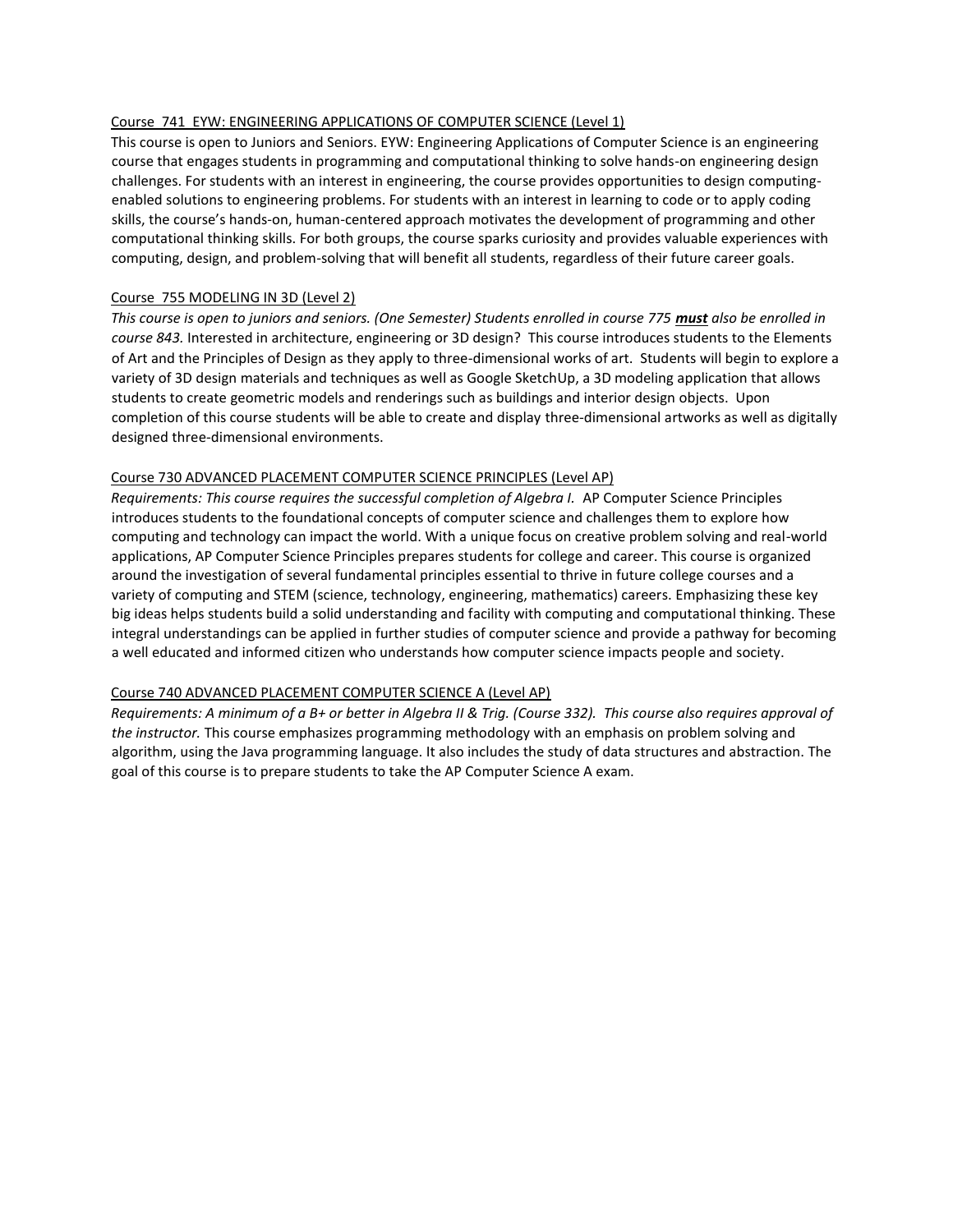#### Course 741 EYW: ENGINEERING APPLICATIONS OF COMPUTER SCIENCE (Level 1)

This course is open to Juniors and Seniors. EYW: Engineering Applications of Computer Science is an engineering course that engages students in programming and computational thinking to solve hands-on engineering design challenges. For students with an interest in engineering, the course provides opportunities to design computingenabled solutions to engineering problems. For students with an interest in learning to code or to apply coding skills, the course's hands-on, human-centered approach motivates the development of programming and other computational thinking skills. For both groups, the course sparks curiosity and provides valuable experiences with computing, design, and problem-solving that will benefit all students, regardless of their future career goals.

#### Course 755 MODELING IN 3D (Level 2)

*This course is open to juniors and seniors. (One Semester) Students enrolled in course 775 must also be enrolled in course 843.* Interested in architecture, engineering or 3D design? This course introduces students to the Elements of Art and the Principles of Design as they apply to three-dimensional works of art. Students will begin to explore a variety of 3D design materials and techniques as well as Google SketchUp, a 3D modeling application that allows students to create geometric models and renderings such as buildings and interior design objects. Upon completion of this course students will be able to create and display three-dimensional artworks as well as digitally designed three-dimensional environments.

#### Course 730 ADVANCED PLACEMENT COMPUTER SCIENCE PRINCIPLES (Level AP)

*Requirements: This course requires the successful completion of Algebra I. AP Computer Science Principles* introduces students to the foundational concepts of computer science and challenges them to explore how computing and technology can impact the world. With a unique focus on creative problem solving and real-world applications, AP Computer Science Principles prepares students for college and career. This course is organized around the investigation of several fundamental principles essential to thrive in future college courses and a variety of computing and STEM (science, technology, engineering, mathematics) careers. Emphasizing these key big ideas helps students build a solid understanding and facility with computing and computational thinking. These integral understandings can be applied in further studies of computer science and provide a pathway for becoming a well educated and informed citizen who understands how computer science impacts people and society.

#### Course 740 ADVANCED PLACEMENT COMPUTER SCIENCE A (Level AP)

*Requirements: A minimum of a B+ or better in Algebra II & Trig. (Course 332). This course also requires approval of the instructor.* This course emphasizes programming methodology with an emphasis on problem solving and algorithm, using the Java programming language. It also includes the study of data structures and abstraction. The goal of this course is to prepare students to take the AP Computer Science A exam.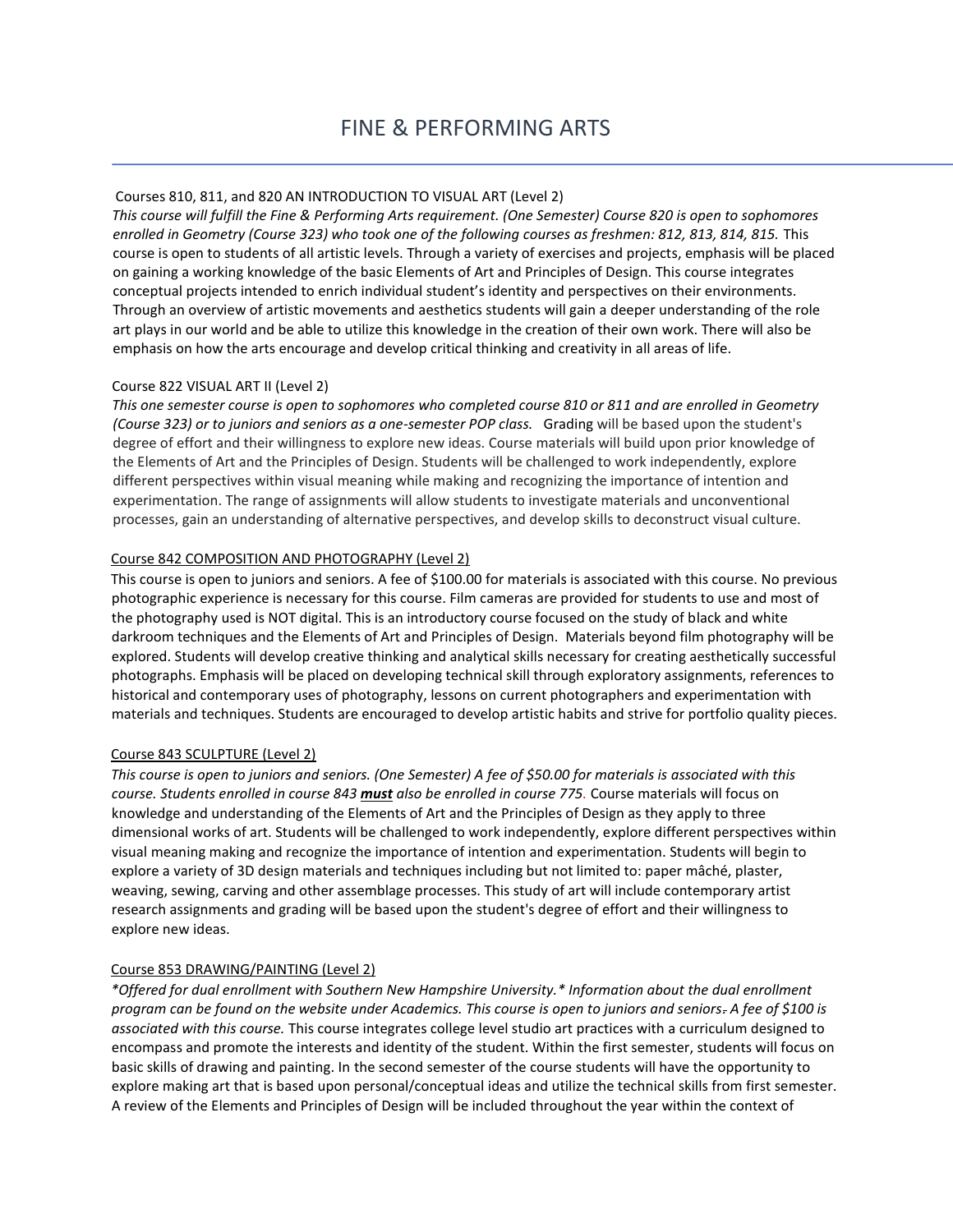# Courses 810, 811, and 820 AN INTRODUCTION TO VISUAL ART (Level 2)

*This course will fulfill the Fine & Performing Arts requirement. (One Semester) Course 820 is open to sophomores enrolled in Geometry (Course 323) who took one of the following courses as freshmen: 812, 813, 814, 815.* This course is open to students of all artistic levels. Through a variety of exercises and projects, emphasis will be placed on gaining a working knowledge of the basic Elements of Art and Principles of Design. This course integrates conceptual projects intended to enrich individual student's identity and perspectives on their environments. Through an overview of artistic movements and aesthetics students will gain a deeper understanding of the role art plays in our world and be able to utilize this knowledge in the creation of their own work. There will also be emphasis on how the arts encourage and develop critical thinking and creativity in all areas of life.

#### Course 822 VISUAL ART II (Level 2)

*This one semester course is open to sophomores who completed course 810 or 811 and are enrolled in Geometry (Course 323) or to juniors and seniors as a one-semester POP class.* Grading will be based upon the student's degree of effort and their willingness to explore new ideas. Course materials will build upon prior knowledge of the Elements of Art and the Principles of Design. Students will be challenged to work independently, explore different perspectives within visual meaning while making and recognizing the importance of intention and experimentation. The range of assignments will allow students to investigate materials and unconventional processes, gain an understanding of alternative perspectives, and develop skills to deconstruct visual culture.

#### Course 842 COMPOSITION AND PHOTOGRAPHY (Level 2)

This course is open to juniors and seniors. A fee of \$100.00 for materials is associated with this course. No previous photographic experience is necessary for this course. Film cameras are provided for students to use and most of the photography used is NOT digital. This is an introductory course focused on the study of black and white darkroom techniques and the Elements of Art and Principles of Design. Materials beyond film photography will be explored. Students will develop creative thinking and analytical skills necessary for creating aesthetically successful photographs. Emphasis will be placed on developing technical skill through exploratory assignments, references to historical and contemporary uses of photography, lessons on current photographers and experimentation with materials and techniques. Students are encouraged to develop artistic habits and strive for portfolio quality pieces.

#### Course 843 SCULPTURE (Level 2)

*This course is open to juniors and seniors. (One Semester) A fee of \$50.00 for materials is associated with this course. Students enrolled in course 843 must also be enrolled in course 775.* Course materials will focus on knowledge and understanding of the Elements of Art and the Principles of Design as they apply to three dimensional works of art. Students will be challenged to work independently, explore different perspectives within visual meaning making and recognize the importance of intention and experimentation. Students will begin to explore a variety of 3D design materials and techniques including but not limited to: paper mâché, plaster, weaving, sewing, carving and other assemblage processes. This study of art will include contemporary artist research assignments and grading will be based upon the student's degree of effort and their willingness to explore new ideas.

#### Course 853 DRAWING/PAINTING (Level 2)

*\*Offered for dual enrollment with Southern New Hampshire University.\* Information about the dual enrollment program can be found on the website under Academics. This course is open to juniors and seniors. A fee of \$100 is associated with this course.* This course integrates college level studio art practices with a curriculum designed to encompass and promote the interests and identity of the student. Within the first semester, students will focus on basic skills of drawing and painting. In the second semester of the course students will have the opportunity to explore making art that is based upon personal/conceptual ideas and utilize the technical skills from first semester. A review of the Elements and Principles of Design will be included throughout the year within the context of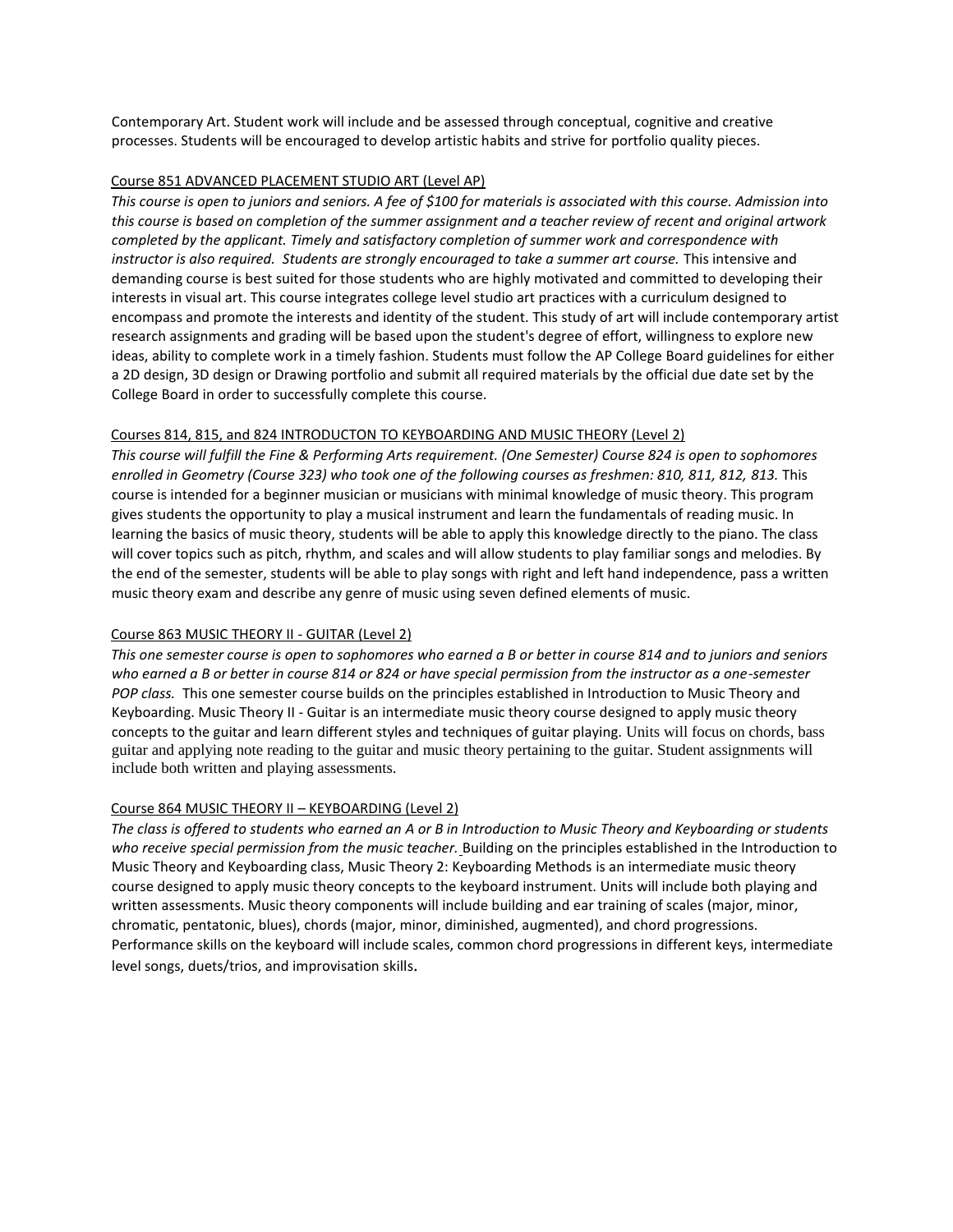Contemporary Art. Student work will include and be assessed through conceptual, cognitive and creative processes. Students will be encouraged to develop artistic habits and strive for portfolio quality pieces.

#### Course 851 ADVANCED PLACEMENT STUDIO ART (Level AP)

*This course is open to juniors and seniors. A fee of \$100 for materials is associated with this course. Admission into this course is based on completion of the summer assignment and a teacher review of recent and original artwork completed by the applicant. Timely and satisfactory completion of summer work and correspondence with instructor is also required. Students are strongly encouraged to take a summer art course.* This intensive and demanding course is best suited for those students who are highly motivated and committed to developing their interests in visual art. This course integrates college level studio art practices with a curriculum designed to encompass and promote the interests and identity of the student. This study of art will include contemporary artist research assignments and grading will be based upon the student's degree of effort, willingness to explore new ideas, ability to complete work in a timely fashion. Students must follow the AP College Board guidelines for either a 2D design, 3D design or Drawing portfolio and submit all required materials by the official due date set by the College Board in order to successfully complete this course.

# Courses 814, 815, and 824 INTRODUCTON TO KEYBOARDING AND MUSIC THEORY (Level 2)

*This course will fulfill the Fine & Performing Arts requirement. (One Semester) Course 824 is open to sophomores enrolled in Geometry (Course 323) who took one of the following courses as freshmen: 810, 811, 812, 813.* This course is intended for a beginner musician or musicians with minimal knowledge of music theory. This program gives students the opportunity to play a musical instrument and learn the fundamentals of reading music. In learning the basics of music theory, students will be able to apply this knowledge directly to the piano. The class will cover topics such as pitch, rhythm, and scales and will allow students to play familiar songs and melodies. By the end of the semester, students will be able to play songs with right and left hand independence, pass a written music theory exam and describe any genre of music using seven defined elements of music.

#### Course 863 MUSIC THEORY II - GUITAR (Level 2)

*This one semester course is open to sophomores who earned a B or better in course 814 and to juniors and seniors who earned a B or better in course 814 or 824 or have special permission from the instructor as a one-semester POP class.* This one semester course builds on the principles established in Introduction to Music Theory and Keyboarding. Music Theory II - Guitar is an intermediate music theory course designed to apply music theory concepts to the guitar and learn different styles and techniques of guitar playing. Units will focus on chords, bass guitar and applying note reading to the guitar and music theory pertaining to the guitar. Student assignments will include both written and playing assessments.

#### Course 864 MUSIC THEORY II – KEYBOARDING (Level 2)

*The class is offered to students who earned an A or B in Introduction to Music Theory and Keyboarding or students who receive special permission from the music teacher.* Building on the principles established in the Introduction to Music Theory and Keyboarding class, Music Theory 2: Keyboarding Methods is an intermediate music theory course designed to apply music theory concepts to the keyboard instrument. Units will include both playing and written assessments. Music theory components will include building and ear training of scales (major, minor, chromatic, pentatonic, blues), chords (major, minor, diminished, augmented), and chord progressions. Performance skills on the keyboard will include scales, common chord progressions in different keys, intermediate level songs, duets/trios, and improvisation skills.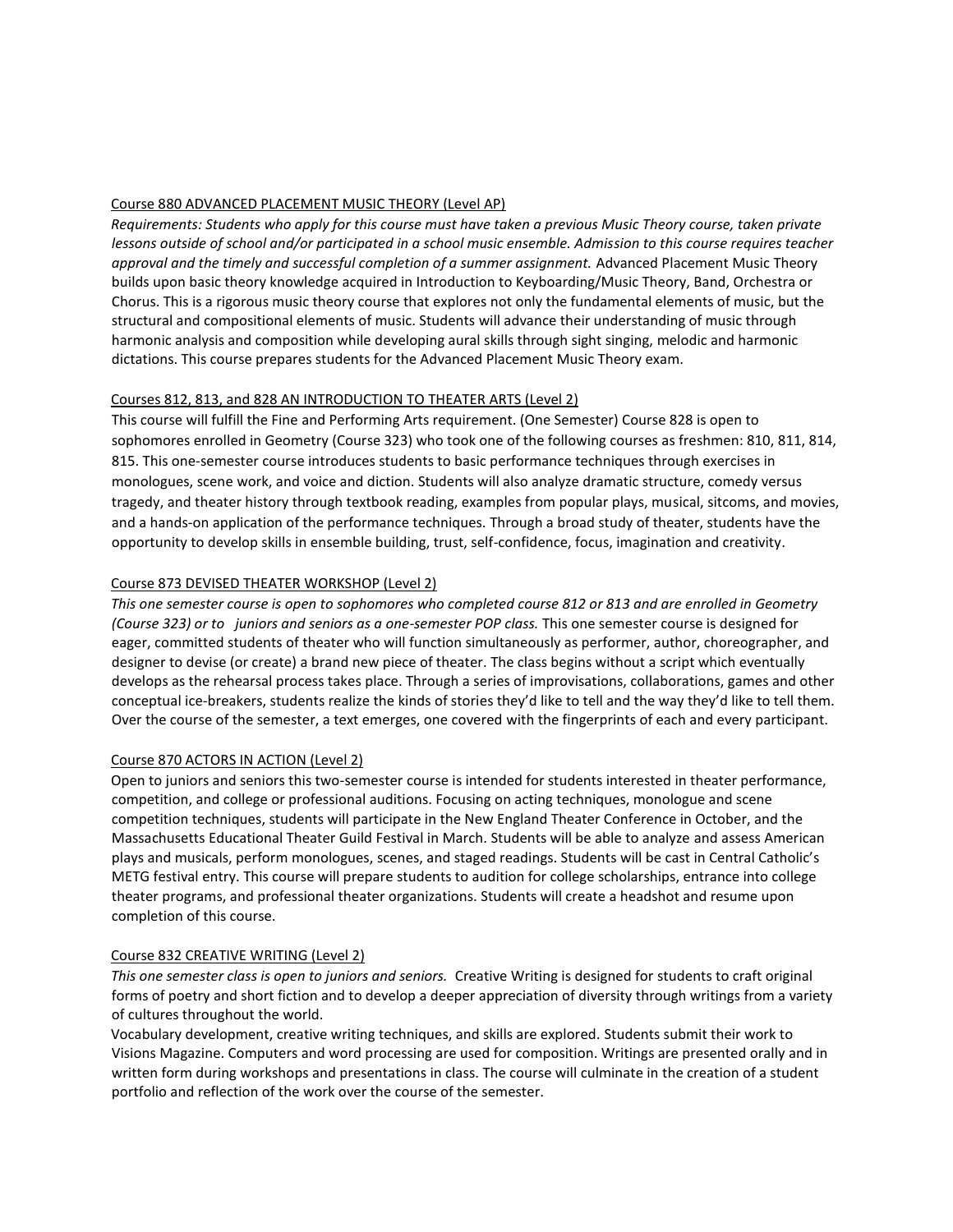# Course 880 ADVANCED PLACEMENT MUSIC THEORY (Level AP)

*Requirements: Students who apply for this course must have taken a previous Music Theory course, taken private lessons outside of school and/or participated in a school music ensemble. Admission to this course requires teacher approval and the timely and successful completion of a summer assignment.* Advanced Placement Music Theory builds upon basic theory knowledge acquired in Introduction to Keyboarding/Music Theory, Band, Orchestra or Chorus. This is a rigorous music theory course that explores not only the fundamental elements of music, but the structural and compositional elements of music. Students will advance their understanding of music through harmonic analysis and composition while developing aural skills through sight singing, melodic and harmonic dictations. This course prepares students for the Advanced Placement Music Theory exam.

# Courses 812, 813, and 828 AN INTRODUCTION TO THEATER ARTS (Level 2)

This course will fulfill the Fine and Performing Arts requirement. (One Semester) Course 828 is open to sophomores enrolled in Geometry (Course 323) who took one of the following courses as freshmen: 810, 811, 814, 815. This one-semester course introduces students to basic performance techniques through exercises in monologues, scene work, and voice and diction. Students will also analyze dramatic structure, comedy versus tragedy, and theater history through textbook reading, examples from popular plays, musical, sitcoms, and movies, and a hands-on application of the performance techniques. Through a broad study of theater, students have the opportunity to develop skills in ensemble building, trust, self-confidence, focus, imagination and creativity.

# Course 873 DEVISED THEATER WORKSHOP (Level 2)

*This one semester course is open to sophomores who completed course 812 or 813 and are enrolled in Geometry (Course 323) or to juniors and seniors as a one-semester POP class.* This one semester course is designed for eager, committed students of theater who will function simultaneously as performer, author, choreographer, and designer to devise (or create) a brand new piece of theater. The class begins without a script which eventually develops as the rehearsal process takes place. Through a series of improvisations, collaborations, games and other conceptual ice-breakers, students realize the kinds of stories they'd like to tell and the way they'd like to tell them. Over the course of the semester, a text emerges, one covered with the fingerprints of each and every participant.

#### Course 870 ACTORS IN ACTION (Level 2)

Open to juniors and seniors this two-semester course is intended for students interested in theater performance, competition, and college or professional auditions. Focusing on acting techniques, monologue and scene competition techniques, students will participate in the New England Theater Conference in October, and the Massachusetts Educational Theater Guild Festival in March. Students will be able to analyze and assess American plays and musicals, perform monologues, scenes, and staged readings. Students will be cast in Central Catholic's METG festival entry. This course will prepare students to audition for college scholarships, entrance into college theater programs, and professional theater organizations. Students will create a headshot and resume upon completion of this course.

#### Course 832 CREATIVE WRITING (Level 2)

*This one semester class is open to juniors and seniors.* Creative Writing is designed for students to craft original forms of poetry and short fiction and to develop a deeper appreciation of diversity through writings from a variety of cultures throughout the world.

Vocabulary development, creative writing techniques, and skills are explored. Students submit their work to Visions Magazine. Computers and word processing are used for composition. Writings are presented orally and in written form during workshops and presentations in class. The course will culminate in the creation of a student portfolio and reflection of the work over the course of the semester.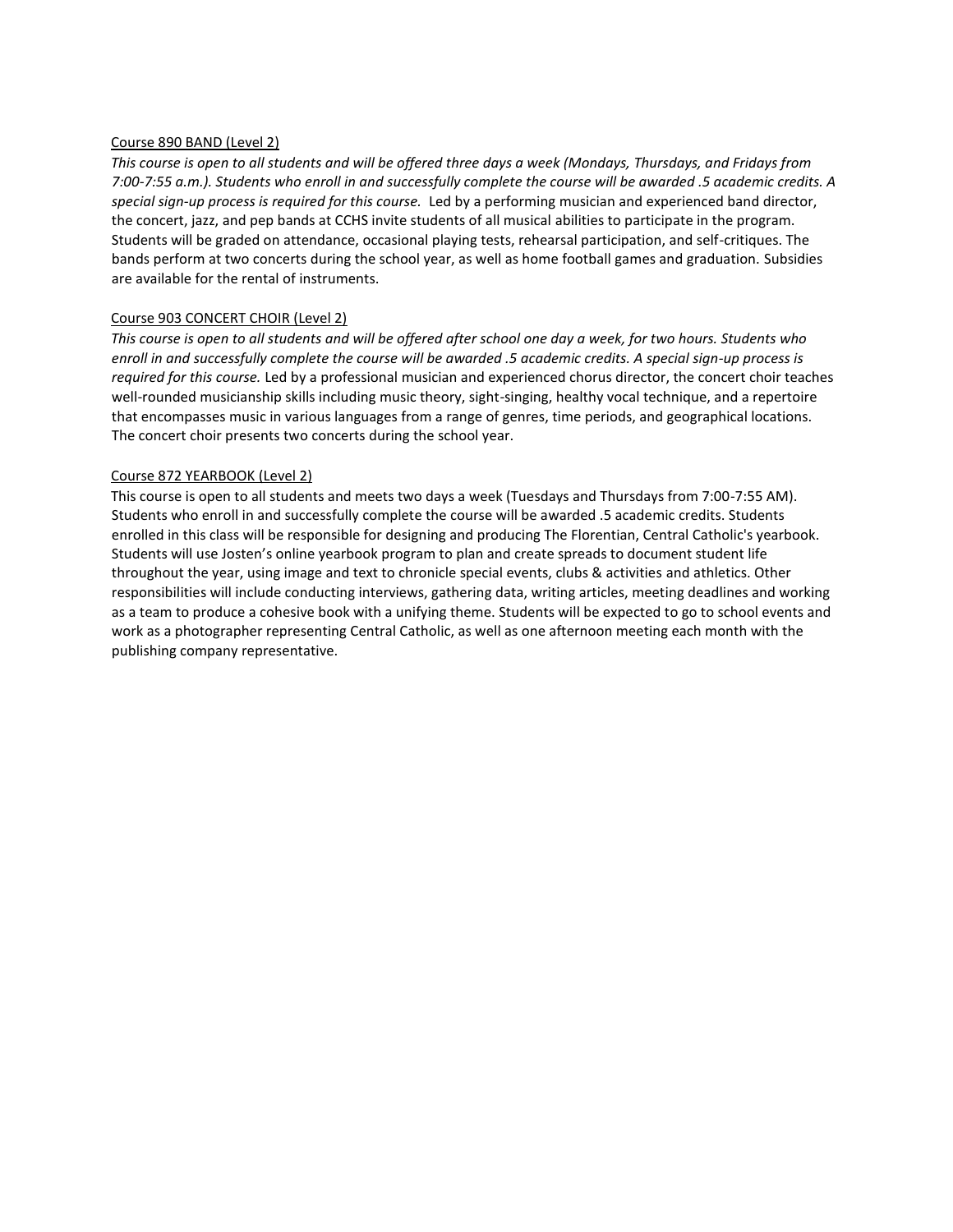#### Course 890 BAND (Level 2)

*This course is open to all students and will be offered three days a week (Mondays, Thursdays, and Fridays from 7:00-7:55 a.m.). Students who enroll in and successfully complete the course will be awarded .5 academic credits. A special sign-up process is required for this course.* Led by a performing musician and experienced band director, the concert, jazz, and pep bands at CCHS invite students of all musical abilities to participate in the program. Students will be graded on attendance, occasional playing tests, rehearsal participation, and self-critiques. The bands perform at two concerts during the school year, as well as home football games and graduation. Subsidies are available for the rental of instruments.

#### Course 903 CONCERT CHOIR (Level 2)

*This course is open to all students and will be offered after school one day a week, for two hours. Students who enroll in and successfully complete the course will be awarded .5 academic credits. A special sign-up process is required for this course.* Led by a professional musician and experienced chorus director, the concert choir teaches well-rounded musicianship skills including music theory, sight-singing, healthy vocal technique, and a repertoire that encompasses music in various languages from a range of genres, time periods, and geographical locations. The concert choir presents two concerts during the school year.

#### Course 872 YEARBOOK (Level 2)

This course is open to all students and meets two days a week (Tuesdays and Thursdays from 7:00-7:55 AM). Students who enroll in and successfully complete the course will be awarded .5 academic credits. Students enrolled in this class will be responsible for designing and producing The Florentian, Central Catholic's yearbook. Students will use Josten's online yearbook program to plan and create spreads to document student life throughout the year, using image and text to chronicle special events, clubs & activities and athletics. Other responsibilities will include conducting interviews, gathering data, writing articles, meeting deadlines and working as a team to produce a cohesive book with a unifying theme. Students will be expected to go to school events and work as a photographer representing Central Catholic, as well as one afternoon meeting each month with the publishing company representative.